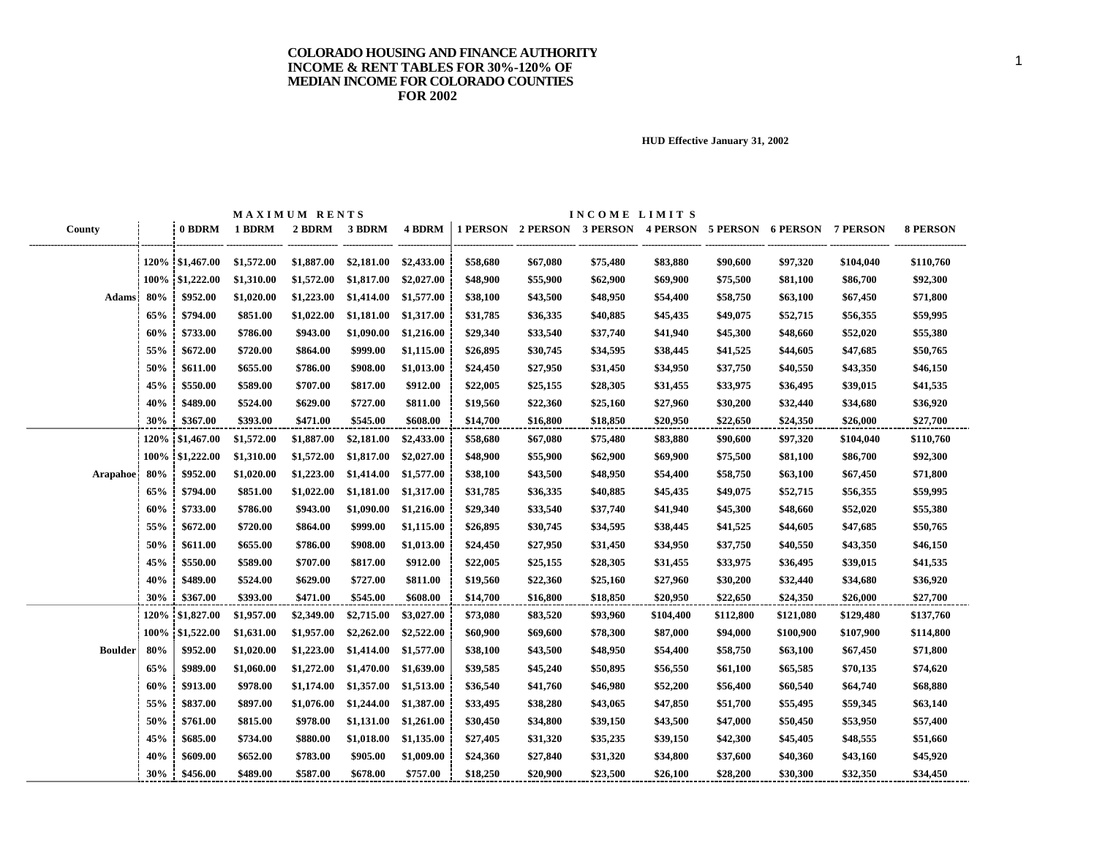|                 |      |                 |            | MAXIMUM RENTS |            |            |          |                            | INCOME LIMITS |                 |                   |           |                 |                 |
|-----------------|------|-----------------|------------|---------------|------------|------------|----------|----------------------------|---------------|-----------------|-------------------|-----------|-----------------|-----------------|
| County          |      | 0 BDRM          | 1 BDRM     | 2 BDRM        | 3 BDRM     | 4 BDRM     |          | 1 PERSON 2 PERSON 3 PERSON |               | <b>4 PERSON</b> | 5 PERSON 6 PERSON |           | <b>7 PERSON</b> | <b>8 PERSON</b> |
|                 |      |                 |            |               |            |            |          |                            |               |                 |                   |           |                 |                 |
|                 |      | 120% \$1,467.00 | \$1,572.00 | \$1,887.00    | \$2,181.00 | \$2,433.00 | \$58,680 | \$67,080                   | \$75,480      | \$83,880        | \$90,600          | \$97,320  | \$104,040       | \$110,760       |
|                 |      | 100% \$1,222.00 | \$1,310.00 | \$1,572.00    | \$1,817.00 | \$2,027.00 | \$48,900 | \$55,900                   | \$62,900      | \$69,900        | \$75,500          | \$81,100  | \$86,700        | \$92,300        |
| <b>Adams</b>    | 80%  | \$952.00        | \$1,020.00 | \$1,223.00    | \$1,414.00 | \$1,577.00 | \$38,100 | \$43,500                   | \$48,950      | \$54,400        | \$58,750          | \$63,100  | \$67,450        | \$71,800        |
|                 | 65%  | \$794.00        | \$851.00   | \$1,022.00    | \$1,181.00 | \$1,317.00 | \$31,785 | \$36,335                   | \$40,885      | \$45,435        | \$49,075          | \$52,715  | \$56,355        | \$59,995        |
|                 | 60%  | \$733.00        | \$786.00   | \$943.00      | \$1,090.00 | \$1,216.00 | \$29,340 | \$33,540                   | \$37,740      | \$41,940        | \$45,300          | \$48,660  | \$52,020        | \$55,380        |
|                 | 55%  | \$672.00        | \$720.00   | \$864.00      | \$999.00   | \$1,115.00 | \$26,895 | \$30,745                   | \$34,595      | \$38,445        | \$41,525          | \$44,605  | \$47,685        | \$50,765        |
|                 | 50%  | \$611.00        | \$655.00   | \$786.00      | \$908.00   | \$1,013.00 | \$24,450 | \$27,950                   | \$31,450      | \$34,950        | \$37,750          | \$40,550  | \$43,350        | \$46,150        |
|                 | 45%  | \$550.00        | \$589.00   | \$707.00      | \$817.00   | \$912.00   | \$22,005 | \$25,155                   | \$28,305      | \$31,455        | \$33,975          | \$36,495  | \$39,015        | \$41,535        |
|                 | 40%  | \$489.00        | \$524.00   | \$629.00      | \$727.00   | \$811.00   | \$19,560 | \$22,360                   | \$25,160      | \$27,960        | \$30,200          | \$32,440  | \$34,680        | \$36,920        |
|                 | 30%  | \$367.00        | \$393.00   | \$471.00      | \$545.00   | \$608.00   | \$14,700 | \$16,800                   | \$18,850      | \$20,950        | \$22,650          | \$24,350  | \$26,000        | \$27,700        |
|                 | 120% | \$1,467.00      | \$1,572.00 | \$1,887.00    | \$2,181.00 | \$2,433.00 | \$58,680 | \$67,080                   | \$75,480      | \$83,880        | \$90,600          | \$97,320  | \$104,040       | \$110,760       |
|                 |      | 100% \$1,222.00 | \$1,310.00 | \$1,572.00    | \$1,817.00 | \$2,027.00 | \$48,900 | \$55,900                   | \$62,900      | \$69,900        | \$75,500          | \$81,100  | \$86,700        | \$92,300        |
| <b>Arapahoe</b> | 80%  | \$952.00        | \$1,020.00 | \$1,223.00    | \$1,414.00 | \$1,577.00 | \$38,100 | \$43,500                   | \$48,950      | \$54,400        | \$58,750          | \$63,100  | \$67,450        | \$71,800        |
|                 | 65%  | \$794.00        | \$851.00   | \$1,022.00    | \$1,181.00 | \$1,317.00 | \$31,785 | \$36,335                   | \$40,885      | \$45,435        | \$49,075          | \$52,715  | \$56,355        | \$59,995        |
|                 | 60%  | \$733.00        | \$786.00   | \$943.00      | \$1,090.00 | \$1,216.00 | \$29,340 | \$33,540                   | \$37,740      | \$41,940        | \$45,300          | \$48,660  | \$52,020        | \$55,380        |
|                 | 55%  | \$672.00        | \$720.00   | \$864.00      | \$999.00   | \$1,115.00 | \$26,895 | \$30,745                   | \$34,595      | \$38,445        | \$41,525          | \$44,605  | \$47,685        | \$50,765        |
|                 | 50%  | \$611.00        | \$655.00   | \$786.00      | \$908.00   | \$1,013.00 | \$24,450 | \$27,950                   | \$31,450      | \$34,950        | \$37,750          | \$40,550  | \$43,350        | \$46,150        |
|                 | 45%  | \$550.00        | \$589.00   | \$707.00      | \$817.00   | \$912.00   | \$22,005 | \$25,155                   | \$28,305      | \$31,455        | \$33,975          | \$36,495  | \$39,015        | \$41,535        |
|                 | 40%  | \$489.00        | \$524.00   | \$629.00      | \$727.00   | \$811.00   | \$19,560 | \$22,360                   | \$25,160      | \$27,960        | \$30,200          | \$32,440  | \$34,680        | \$36,920        |
|                 | 30%  | \$367.00        | \$393.00   | \$471.00      | \$545.00   | \$608.00   | \$14,700 | \$16,800                   | \$18,850      | \$20,950        | \$22,650          | \$24,350  | \$26,000        | \$27,700        |
|                 |      | 120% \$1,827.00 | \$1,957.00 | \$2,349.00    | \$2,715.00 | \$3,027.00 | \$73,080 | \$83,520                   | \$93,960      | \$104,400       | \$112,800         | \$121,080 | \$129,480       | \$137,760       |
|                 |      | 100% \$1,522.00 | \$1,631.00 | \$1,957.00    | \$2,262.00 | \$2,522.00 | \$60,900 | \$69,600                   | \$78,300      | \$87,000        | \$94,000          | \$100,900 | \$107,900       | \$114,800       |
| <b>Boulder</b>  | 80%  | \$952.00        | \$1,020.00 | \$1,223.00    | \$1,414.00 | \$1,577.00 | \$38,100 | \$43,500                   | \$48,950      | \$54,400        | \$58,750          | \$63,100  | \$67,450        | \$71,800        |
|                 | 65%  | \$989.00        | \$1,060.00 | \$1,272.00    | \$1,470.00 | \$1,639.00 | \$39,585 | \$45,240                   | \$50,895      | \$56,550        | \$61,100          | \$65,585  | \$70,135        | \$74,620        |
|                 | 60%  | \$913.00        | \$978.00   | \$1,174.00    | \$1,357.00 | \$1,513.00 | \$36,540 | \$41,760                   | \$46,980      | \$52,200        | \$56,400          | \$60,540  | \$64,740        | \$68,880        |
|                 | 55%  | \$837.00        | \$897.00   | \$1,076.00    | \$1,244.00 | \$1,387.00 | \$33,495 | \$38,280                   | \$43,065      | \$47,850        | \$51,700          | \$55,495  | \$59,345        | \$63,140        |
|                 | 50%  | \$761.00        | \$815.00   | \$978.00      | \$1,131.00 | \$1,261.00 | \$30,450 | \$34,800                   | \$39,150      | \$43,500        | \$47,000          | \$50,450  | \$53,950        | \$57,400        |
|                 | 45%  | \$685.00        | \$734.00   | \$880.00      | \$1,018.00 | \$1,135.00 | \$27,405 | \$31,320                   | \$35,235      | \$39,150        | \$42,300          | \$45,405  | \$48,555        | \$51,660        |
|                 | 40%  | \$609.00        | \$652.00   | \$783.00      | \$905.00   | \$1,009.00 | \$24,360 | \$27,840                   | \$31,320      | \$34,800        | \$37,600          | \$40,360  | \$43,160        | \$45,920        |
|                 | 30%  | \$456.00        | \$489.00   | \$587.00      | \$678.00   | \$757.00   | \$18,250 | \$20,900                   | \$23,500      | \$26,100        | \$28,200          | \$30,300  | \$32,350        | \$34,450        |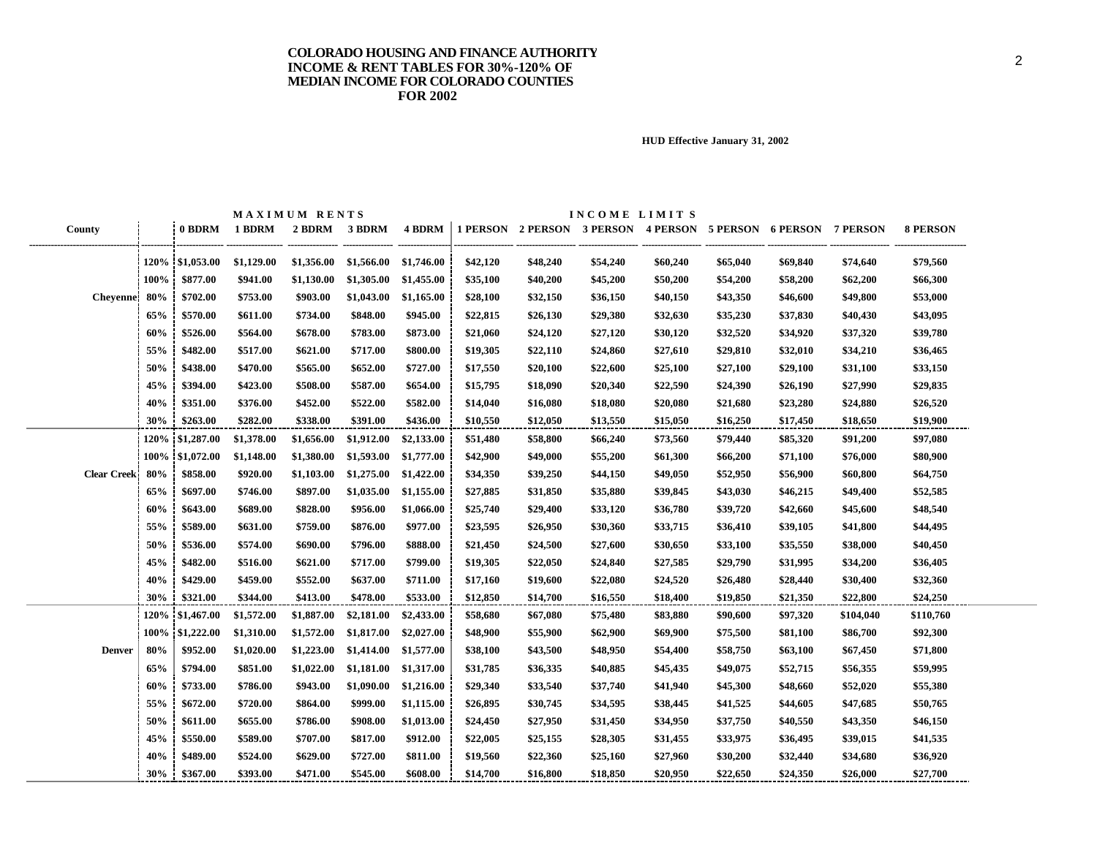|                     |      |                  |            | MAXIMUM RENTS |            |            |          |          | INCOME LIMITS |                                                                |          |          |           |                 |
|---------------------|------|------------------|------------|---------------|------------|------------|----------|----------|---------------|----------------------------------------------------------------|----------|----------|-----------|-----------------|
| County              |      | 0 BDRM           | 1 BDRM     | 2 BDRM        | 3 BDRM     | 4 BDRM     |          |          |               | 1 PERSON 2 PERSON 3 PERSON 4 PERSON 5 PERSON 6 PERSON 7 PERSON |          |          |           | <b>8 PERSON</b> |
|                     |      | 120\% \$1,053.00 | \$1,129.00 | \$1,356.00    | \$1,566.00 | \$1,746.00 | \$42,120 | \$48,240 | \$54,240      | \$60,240                                                       | \$65,040 | \$69,840 | \$74,640  | \$79,560        |
|                     | 100% | \$877.00         | \$941.00   | \$1,130.00    | \$1,305.00 | \$1,455.00 | \$35,100 | \$40,200 | \$45,200      | \$50,200                                                       | \$54,200 | \$58,200 | \$62,200  | \$66,300        |
| Cheyenne 80%        |      | \$702.00         | \$753.00   | \$903.00      | \$1,043.00 | \$1,165.00 | \$28,100 | \$32,150 | \$36,150      | \$40,150                                                       | \$43,350 | \$46,600 | \$49,800  | \$53,000        |
|                     | 65%  | \$570.00         | \$611.00   | \$734.00      | \$848.00   | \$945.00   | \$22,815 | \$26,130 | \$29,380      | \$32,630                                                       | \$35,230 | \$37,830 | \$40,430  | \$43,095        |
|                     | 60%  | \$526.00         | \$564.00   | \$678.00      | \$783.00   | \$873.00   | \$21,060 | \$24,120 | \$27,120      | \$30,120                                                       | \$32,520 | \$34,920 | \$37,320  | \$39,780        |
|                     | 55%  | \$482.00         | \$517.00   | \$621.00      | \$717.00   | \$800.00   | \$19,305 | \$22,110 | \$24,860      | \$27,610                                                       | \$29,810 | \$32,010 | \$34,210  | \$36,465        |
|                     | 50%  | \$438.00         | \$470.00   | \$565.00      | \$652.00   | \$727.00   | \$17,550 | \$20,100 | \$22,600      | \$25,100                                                       | \$27,100 | \$29,100 | \$31,100  | \$33,150        |
|                     | 45%  | \$394.00         | \$423.00   | \$508.00      | \$587.00   | \$654.00   | \$15,795 | \$18,090 | \$20,340      | \$22,590                                                       | \$24,390 | \$26,190 | \$27,990  | \$29,835        |
|                     | 40%  | \$351.00         | \$376.00   | \$452.00      | \$522.00   | \$582.00   | \$14,040 | \$16,080 | \$18,080      | \$20,080                                                       | \$21,680 | \$23,280 | \$24,880  | \$26,520        |
|                     | 30%  | \$263.00         | \$282.00   | \$338.00      | \$391.00   | \$436.00   | \$10,550 | \$12,050 | \$13,550      | \$15,050                                                       | \$16,250 | \$17,450 | \$18,650  | \$19,900        |
|                     |      | 120% \$1,287.00  | \$1,378.00 | \$1,656.00    | \$1,912.00 | \$2,133.00 | \$51,480 | \$58,800 | \$66,240      | \$73,560                                                       | \$79,440 | \$85,320 | \$91,200  | \$97,080        |
|                     |      | 100% \$1,072.00  | \$1,148.00 | \$1,380.00    | \$1,593.00 | \$1,777.00 | \$42,900 | \$49,000 | \$55,200      | \$61,300                                                       | \$66,200 | \$71,100 | \$76,000  | \$80,900        |
| <b>Clear Creek!</b> | 80%  | \$858.00         | \$920.00   | \$1,103.00    | \$1,275.00 | \$1,422.00 | \$34,350 | \$39,250 | \$44,150      | \$49,050                                                       | \$52,950 | \$56,900 | \$60,800  | \$64,750        |
|                     | 65%  | \$697.00         | \$746.00   | \$897.00      | \$1,035.00 | \$1,155.00 | \$27,885 | \$31,850 | \$35,880      | \$39,845                                                       | \$43,030 | \$46,215 | \$49,400  | \$52,585        |
|                     | 60%  | \$643.00         | \$689.00   | \$828.00      | \$956.00   | \$1,066.00 | \$25,740 | \$29,400 | \$33,120      | \$36,780                                                       | \$39,720 | \$42,660 | \$45,600  | \$48,540        |
|                     | 55%  | \$589.00         | \$631.00   | \$759.00      | \$876.00   | \$977.00   | \$23,595 | \$26,950 | \$30,360      | \$33,715                                                       | \$36,410 | \$39,105 | \$41,800  | \$44,495        |
|                     | 50%  | \$536.00         | \$574.00   | \$690.00      | \$796.00   | \$888.00   | \$21,450 | \$24,500 | \$27,600      | \$30,650                                                       | \$33,100 | \$35,550 | \$38,000  | \$40,450        |
|                     | 45%  | \$482.00         | \$516.00   | \$621.00      | \$717.00   | \$799.00   | \$19,305 | \$22,050 | \$24,840      | \$27,585                                                       | \$29,790 | \$31,995 | \$34,200  | \$36,405        |
|                     | 40%  | \$429.00         | \$459.00   | \$552.00      | \$637.00   | \$711.00   | \$17,160 | \$19,600 | \$22,080      | \$24,520                                                       | \$26,480 | \$28,440 | \$30,400  | \$32,360        |
|                     | 30%  | \$321.00         | \$344.00   | \$413.00      | \$478.00   | \$533.00   | \$12,850 | \$14,700 | \$16,550      | \$18,400                                                       | \$19,850 | \$21,350 | \$22,800  | \$24,250        |
|                     |      | 120% \$1,467.00  | \$1,572.00 | \$1,887.00    | \$2,181.00 | \$2,433.00 | \$58,680 | \$67,080 | \$75,480      | \$83,880                                                       | \$90,600 | \$97,320 | \$104,040 | \$110,760       |
|                     |      | 100% \$1,222.00  | \$1,310.00 | \$1,572.00    | \$1,817.00 | \$2,027.00 | \$48,900 | \$55,900 | \$62,900      | \$69,900                                                       | \$75,500 | \$81,100 | \$86,700  | \$92,300        |
| <b>Denver</b>       | 80%  | \$952.00         | \$1,020.00 | \$1,223.00    | \$1,414.00 | \$1,577.00 | \$38,100 | \$43,500 | \$48,950      | \$54,400                                                       | \$58,750 | \$63,100 | \$67,450  | \$71,800        |
|                     | 65%  | \$794.00         | \$851.00   | \$1,022.00    | \$1,181.00 | \$1,317.00 | \$31,785 | \$36,335 | \$40,885      | \$45,435                                                       | \$49,075 | \$52,715 | \$56,355  | \$59,995        |
|                     | 60%  | \$733.00         | \$786.00   | \$943.00      | \$1,090.00 | \$1,216.00 | \$29,340 | \$33,540 | \$37,740      | \$41,940                                                       | \$45,300 | \$48,660 | \$52,020  | \$55,380        |
|                     | 55%  | \$672.00         | \$720.00   | \$864.00      | \$999.00   | \$1,115.00 | \$26,895 | \$30,745 | \$34,595      | \$38,445                                                       | \$41,525 | \$44,605 | \$47,685  | \$50,765        |
|                     | 50%  | \$611.00         | \$655.00   | \$786.00      | \$908.00   | \$1,013.00 | \$24,450 | \$27,950 | \$31,450      | \$34,950                                                       | \$37,750 | \$40,550 | \$43,350  | \$46,150        |
|                     | 45%  | \$550.00         | \$589.00   | \$707.00      | \$817.00   | \$912.00   | \$22,005 | \$25,155 | \$28,305      | \$31,455                                                       | \$33,975 | \$36,495 | \$39,015  | \$41,535        |
|                     | 40%  | \$489.00         | \$524.00   | \$629.00      | \$727.00   | \$811.00   | \$19,560 | \$22,360 | \$25,160      | \$27,960                                                       | \$30,200 | \$32,440 | \$34,680  | \$36,920        |
|                     | 30%  | \$367.00         | \$393.00   | \$471.00      | \$545.00   | \$608.00   | \$14,700 | \$16,800 | \$18,850      | \$20,950                                                       | \$22,650 | \$24.350 | \$26,000  | \$27,700        |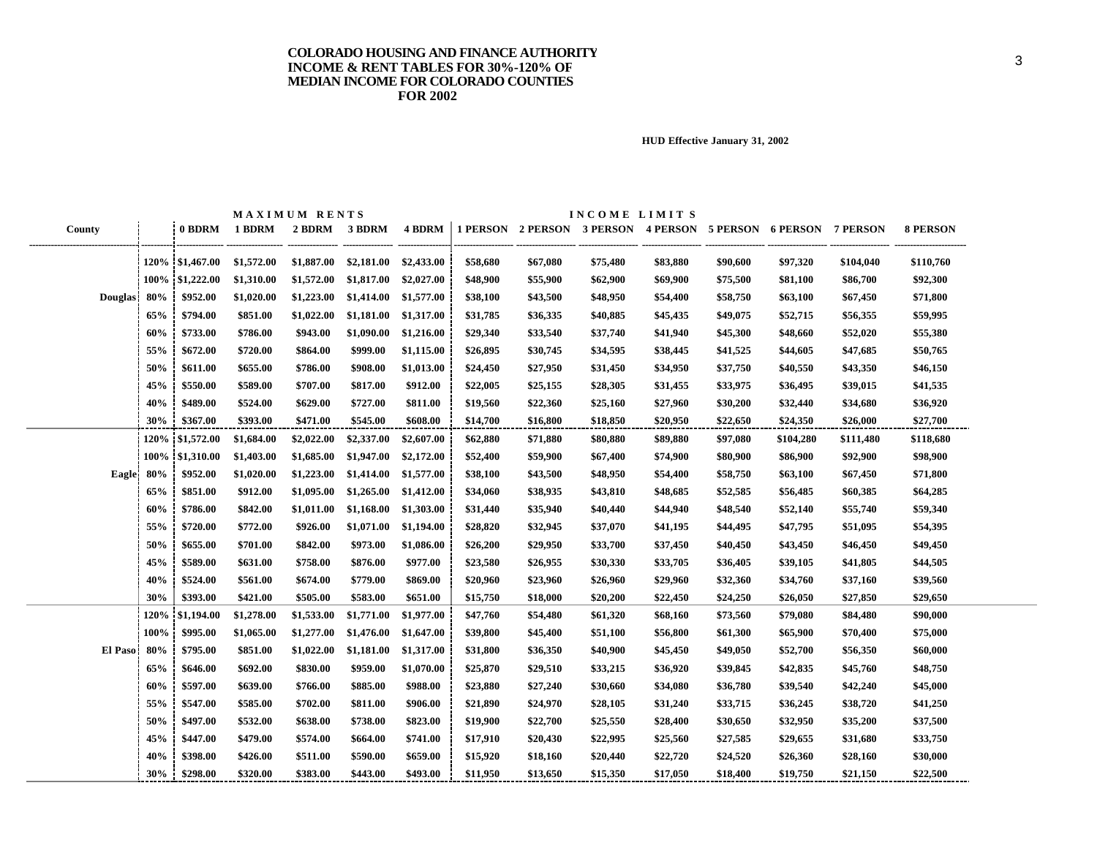|                |      |                  |            | MAXIMUM RENTS |            |            |          |          | INCOME LIMITS |          |          |                                                                |           |                 |
|----------------|------|------------------|------------|---------------|------------|------------|----------|----------|---------------|----------|----------|----------------------------------------------------------------|-----------|-----------------|
| County         |      | 0 BDRM           | 1 BDRM     | 2 BDRM        | 3 BDRM     | 4 BDRM     |          |          |               |          |          | 1 PERSON 2 PERSON 3 PERSON 4 PERSON 5 PERSON 6 PERSON 7 PERSON |           | <b>8 PERSON</b> |
|                |      | 120\% \$1,467.00 | \$1,572.00 | \$1,887.00    | \$2,181.00 | \$2,433.00 | \$58,680 | \$67,080 | \$75,480      | \$83,880 | \$90,600 | \$97,320                                                       | \$104,040 | \$110,760       |
|                |      | 100% \$1,222.00  | \$1,310.00 | \$1,572.00    | \$1,817.00 | \$2,027.00 | \$48,900 | \$55,900 | \$62,900      | \$69,900 | \$75,500 | \$81,100                                                       | \$86,700  | \$92,300        |
| <b>Douglas</b> | 80%  | \$952.00         | \$1,020.00 | \$1,223.00    | \$1,414.00 | \$1,577.00 | \$38,100 | \$43,500 | \$48,950      | \$54,400 | \$58,750 | \$63,100                                                       | \$67,450  | \$71,800        |
|                | 65%  | \$794.00         | \$851.00   | \$1,022.00    | \$1,181.00 | \$1,317.00 | \$31,785 | \$36,335 | \$40,885      | \$45,435 | \$49,075 | \$52,715                                                       | \$56,355  | \$59,995        |
|                | 60%  | \$733.00         | \$786.00   | \$943.00      | \$1,090.00 | \$1,216.00 | \$29,340 | \$33,540 | \$37,740      | \$41,940 | \$45,300 | \$48,660                                                       | \$52,020  | \$55,380        |
|                | 55%  | \$672.00         | \$720.00   | \$864.00      | \$999.00   | \$1,115.00 | \$26,895 | \$30,745 | \$34,595      | \$38,445 | \$41,525 | \$44,605                                                       | \$47,685  | \$50,765        |
|                | 50%  | \$611.00         | \$655.00   | \$786.00      | \$908.00   | \$1,013.00 | \$24,450 | \$27,950 | \$31,450      | \$34,950 | \$37,750 | \$40,550                                                       | \$43,350  | \$46,150        |
|                | 45%  | \$550.00         | \$589.00   | \$707.00      | \$817.00   | \$912.00   | \$22,005 | \$25,155 | \$28,305      | \$31,455 | \$33,975 | \$36,495                                                       | \$39,015  | \$41,535        |
|                | 40%  | \$489.00         | \$524.00   | \$629.00      | \$727.00   | \$811.00   | \$19,560 | \$22,360 | \$25,160      | \$27,960 | \$30,200 | \$32,440                                                       | \$34,680  | \$36,920        |
|                | 30%  | \$367.00         | \$393.00   | \$471.00      | \$545.00   | \$608.00   | \$14,700 | \$16,800 | \$18,850      | \$20,950 | \$22,650 | \$24,350                                                       | \$26,000  | \$27,700        |
|                |      | 120% \$1,572.00  | \$1,684.00 | \$2,022.00    | \$2,337.00 | \$2,607.00 | \$62,880 | \$71,880 | \$80,880      | \$89,880 | \$97,080 | \$104,280                                                      | \$111,480 | \$118,680       |
|                |      | 100% \$1,310.00  | \$1,403.00 | \$1,685.00    | \$1,947.00 | \$2,172.00 | \$52,400 | \$59,900 | \$67,400      | \$74,900 | \$80,900 | \$86,900                                                       | \$92,900  | \$98,900        |
| Eagle          | 80%  | \$952.00         | \$1,020.00 | \$1,223.00    | \$1,414.00 | \$1,577.00 | \$38,100 | \$43,500 | \$48,950      | \$54,400 | \$58,750 | \$63,100                                                       | \$67,450  | \$71,800        |
|                | 65%  | \$851.00         | \$912.00   | \$1,095.00    | \$1,265.00 | \$1,412.00 | \$34,060 | \$38,935 | \$43,810      | \$48,685 | \$52,585 | \$56,485                                                       | \$60,385  | \$64,285        |
|                | 60%  | \$786.00         | \$842.00   | \$1,011.00    | \$1,168.00 | \$1,303.00 | \$31,440 | \$35,940 | \$40,440      | \$44,940 | \$48,540 | \$52,140                                                       | \$55,740  | \$59,340        |
|                | 55%  | \$720.00         | \$772.00   | \$926.00      | \$1,071.00 | \$1,194.00 | \$28,820 | \$32,945 | \$37,070      | \$41,195 | \$44,495 | \$47,795                                                       | \$51,095  | \$54,395        |
|                | 50%  | \$655.00         | \$701.00   | \$842.00      | \$973.00   | \$1,086.00 | \$26,200 | \$29,950 | \$33,700      | \$37,450 | \$40,450 | \$43,450                                                       | \$46,450  | \$49,450        |
|                | 45%  | \$589.00         | \$631.00   | \$758.00      | \$876.00   | \$977.00   | \$23,580 | \$26,955 | \$30,330      | \$33,705 | \$36,405 | \$39,105                                                       | \$41,805  | \$44,505        |
|                | 40%  | \$524.00         | \$561.00   | \$674.00      | \$779.00   | \$869.00   | \$20,960 | \$23,960 | \$26,960      | \$29,960 | \$32,360 | \$34,760                                                       | \$37,160  | \$39,560        |
|                | 30%  | \$393.00         | \$421.00   | \$505.00      | \$583.00   | \$651.00   | \$15,750 | \$18,000 | \$20,200      | \$22,450 | \$24,250 | \$26,050                                                       | \$27,850  | \$29,650        |
|                | 120% | \$1,194.00       | \$1,278.00 | \$1,533.00    | \$1,771.00 | \$1,977.00 | \$47,760 | \$54,480 | \$61,320      | \$68,160 | \$73,560 | \$79,080                                                       | \$84,480  | \$90,000        |
|                | 100% | \$995.00         | \$1,065.00 | \$1,277.00    | \$1,476.00 | \$1,647.00 | \$39,800 | \$45,400 | \$51,100      | \$56,800 | \$61,300 | \$65,900                                                       | \$70,400  | \$75,000        |
| El Paso        | 80%  | \$795.00         | \$851.00   | \$1,022.00    | \$1,181.00 | \$1,317.00 | \$31,800 | \$36,350 | \$40,900      | \$45,450 | \$49,050 | \$52,700                                                       | \$56,350  | \$60,000        |
|                | 65%  | \$646.00         | \$692.00   | \$830.00      | \$959.00   | \$1,070.00 | \$25,870 | \$29,510 | \$33,215      | \$36,920 | \$39,845 | \$42,835                                                       | \$45,760  | \$48,750        |
|                | 60%  | \$597.00         | \$639.00   | \$766.00      | \$885.00   | \$988.00   | \$23,880 | \$27,240 | \$30,660      | \$34,080 | \$36,780 | \$39,540                                                       | \$42,240  | \$45,000        |
|                | 55%  | \$547.00         | \$585.00   | \$702.00      | \$811.00   | \$906.00   | \$21,890 | \$24,970 | \$28,105      | \$31,240 | \$33,715 | \$36,245                                                       | \$38,720  | \$41,250        |
|                | 50%  | \$497.00         | \$532.00   | \$638.00      | \$738.00   | \$823.00   | \$19,900 | \$22,700 | \$25,550      | \$28,400 | \$30,650 | \$32,950                                                       | \$35,200  | \$37,500        |
|                | 45%  | \$447.00         | \$479.00   | \$574.00      | \$664.00   | \$741.00   | \$17,910 | \$20,430 | \$22,995      | \$25,560 | \$27,585 | \$29,655                                                       | \$31,680  | \$33,750        |
|                | 40%  | \$398.00         | \$426.00   | \$511.00      | \$590.00   | \$659.00   | \$15,920 | \$18,160 | \$20,440      | \$22,720 | \$24,520 | \$26,360                                                       | \$28,160  | \$30,000        |
|                | 30%  | \$298.00         | \$320.00   | \$383.00      | \$443.00   | \$493.00   | \$11.950 | \$13,650 | \$15,350      | \$17,050 | \$18,400 | \$19,750                                                       | \$21,150  | \$22,500        |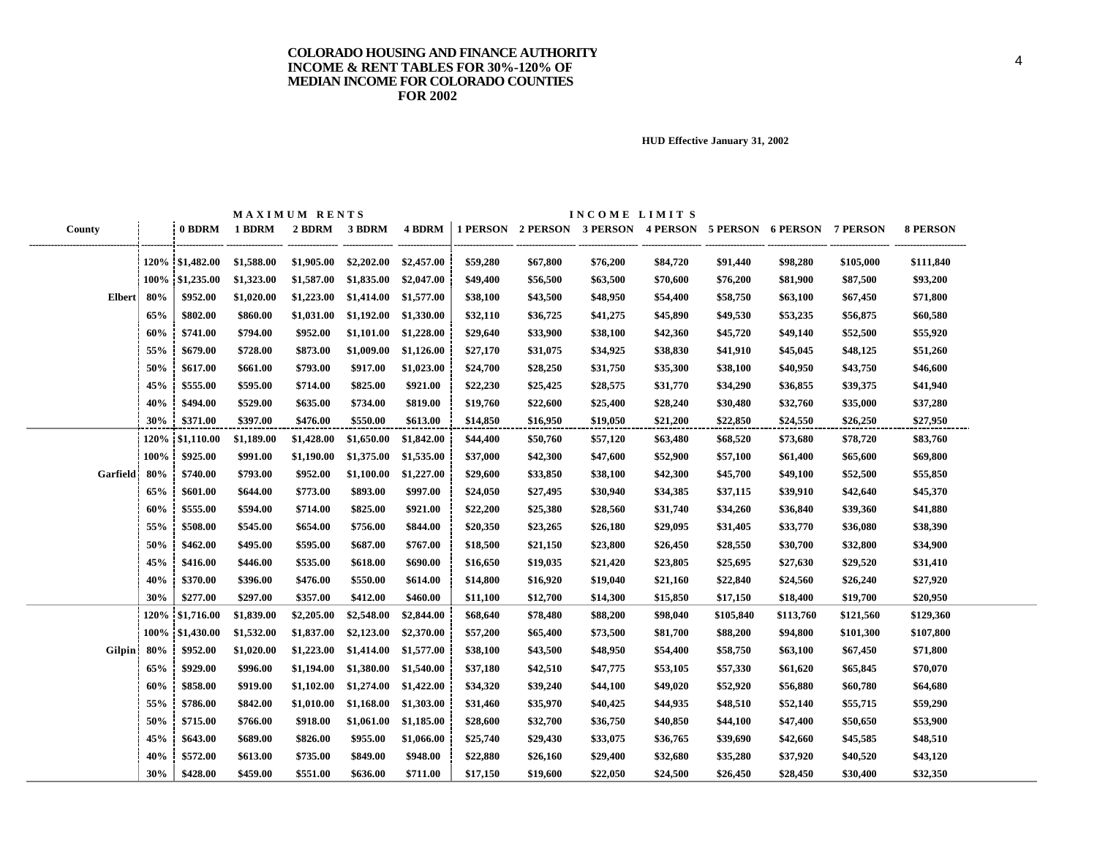|               |      |                 |            | MAXIMUM RENTS |            |            |          |          | INCOME LIMITS |                                                                |           |           |           |                 |
|---------------|------|-----------------|------------|---------------|------------|------------|----------|----------|---------------|----------------------------------------------------------------|-----------|-----------|-----------|-----------------|
| County        |      | 0 BDRM          | 1 BDRM     | 2 BDRM 3 BDRM |            | 4 BDRM     |          |          |               | 1 PERSON 2 PERSON 3 PERSON 4 PERSON 5 PERSON 6 PERSON 7 PERSON |           |           |           | <b>8 PERSON</b> |
|               |      | 120% \$1,482.00 | \$1,588.00 | \$1,905.00    | \$2,202.00 | \$2,457.00 | \$59,280 | \$67,800 | \$76,200      | \$84,720                                                       | \$91,440  | \$98,280  | \$105,000 | \$111,840       |
|               |      | 100% \$1,235.00 | \$1,323.00 | \$1,587.00    | \$1,835.00 | \$2,047.00 | \$49,400 | \$56,500 | \$63,500      | \$70,600                                                       | \$76,200  | \$81,900  | \$87,500  | \$93,200        |
| <b>Elbert</b> | 80%  | \$952.00        | \$1,020.00 | \$1,223.00    | \$1,414.00 | \$1,577.00 | \$38,100 | \$43,500 | \$48,950      | \$54,400                                                       | \$58,750  | \$63,100  | \$67,450  | \$71,800        |
|               | 65%  | \$802.00        | \$860.00   | \$1,031.00    | \$1,192.00 | \$1,330.00 | \$32,110 | \$36,725 | \$41,275      | \$45,890                                                       | \$49,530  | \$53,235  | \$56,875  | \$60,580        |
|               | 60%  | \$741.00        | \$794.00   | \$952.00      | \$1,101.00 | \$1,228.00 | \$29,640 | \$33,900 | \$38,100      | \$42,360                                                       | \$45,720  | \$49,140  | \$52,500  | \$55,920        |
|               | 55%  | \$679.00        | \$728.00   | \$873.00      | \$1,009.00 | \$1,126.00 | \$27,170 | \$31,075 | \$34,925      | \$38,830                                                       | \$41,910  | \$45,045  | \$48,125  | \$51,260        |
|               | 50%  | \$617.00        | \$661.00   | \$793.00      | \$917.00   | \$1,023.00 | \$24,700 | \$28,250 | \$31,750      | \$35,300                                                       | \$38,100  | \$40,950  | \$43,750  | \$46,600        |
|               | 45%  | \$555.00        | \$595.00   | \$714.00      | \$825.00   | \$921.00   | \$22,230 | \$25,425 | \$28,575      | \$31,770                                                       | \$34,290  | \$36,855  | \$39,375  | \$41,940        |
|               | 40%  | \$494.00        | \$529.00   | \$635.00      | \$734.00   | \$819.00   | \$19,760 | \$22,600 | \$25,400      | \$28,240                                                       | \$30,480  | \$32,760  | \$35,000  | \$37,280        |
|               | 30%  | \$371.00        | \$397.00   | \$476.00      | \$550.00   | \$613.00   | \$14,850 | \$16,950 | \$19,050      | \$21,200                                                       | \$22,850  | \$24,550  | \$26,250  | \$27,950        |
|               | 120% | \$1,110.00      | \$1,189.00 | \$1,428.00    | \$1,650.00 | \$1,842.00 | \$44,400 | \$50,760 | \$57,120      | \$63,480                                                       | \$68,520  | \$73,680  | \$78,720  | \$83,760        |
|               | 100% | \$925.00        | \$991.00   | \$1,190.00    | \$1,375.00 | \$1,535.00 | \$37,000 | \$42,300 | \$47,600      | \$52,900                                                       | \$57,100  | \$61,400  | \$65,600  | \$69,800        |
| Garfield      | 80%  | \$740.00        | \$793.00   | \$952.00      | \$1,100.00 | \$1,227.00 | \$29,600 | \$33,850 | \$38,100      | \$42,300                                                       | \$45,700  | \$49,100  | \$52,500  | \$55,850        |
|               | 65%  | \$601.00        | \$644.00   | \$773.00      | \$893.00   | \$997.00   | \$24,050 | \$27,495 | \$30,940      | \$34,385                                                       | \$37,115  | \$39,910  | \$42,640  | \$45,370        |
|               | 60%  | \$555.00        | \$594.00   | \$714.00      | \$825.00   | \$921.00   | \$22,200 | \$25,380 | \$28,560      | \$31,740                                                       | \$34,260  | \$36,840  | \$39,360  | \$41,880        |
|               | 55%  | \$508.00        | \$545.00   | \$654.00      | \$756.00   | \$844.00   | \$20,350 | \$23,265 | \$26,180      | \$29,095                                                       | \$31,405  | \$33,770  | \$36,080  | \$38,390        |
|               | 50%  | \$462.00        | \$495.00   | \$595.00      | \$687.00   | \$767.00   | \$18,500 | \$21,150 | \$23,800      | \$26,450                                                       | \$28,550  | \$30,700  | \$32,800  | \$34,900        |
|               | 45%  | \$416.00        | \$446.00   | \$535.00      | \$618.00   | \$690.00   | \$16,650 | \$19,035 | \$21,420      | \$23,805                                                       | \$25,695  | \$27,630  | \$29,520  | \$31,410        |
|               | 40%  | \$370.00        | \$396.00   | \$476.00      | \$550.00   | \$614.00   | \$14,800 | \$16,920 | \$19,040      | \$21,160                                                       | \$22,840  | \$24,560  | \$26,240  | \$27,920        |
|               | 30%  | \$277.00        | \$297.00   | \$357.00      | \$412.00   | \$460.00   | \$11,100 | \$12,700 | \$14,300      | \$15,850                                                       | \$17,150  | \$18,400  | \$19,700  | \$20,950        |
|               |      | 120% \$1,716.00 | \$1,839.00 | \$2,205.00    | \$2,548.00 | \$2,844.00 | \$68,640 | \$78,480 | \$88,200      | \$98,040                                                       | \$105,840 | \$113,760 | \$121,560 | \$129,360       |
|               |      | 100% \$1,430.00 | \$1,532.00 | \$1,837.00    | \$2,123.00 | \$2,370.00 | \$57,200 | \$65,400 | \$73,500      | \$81,700                                                       | \$88,200  | \$94,800  | \$101,300 | \$107,800       |
| <b>Gilpin</b> | 80%  | \$952.00        | \$1,020.00 | \$1,223.00    | \$1,414.00 | \$1,577.00 | \$38,100 | \$43,500 | \$48,950      | \$54,400                                                       | \$58,750  | \$63,100  | \$67,450  | \$71,800        |
|               | 65%  | \$929.00        | \$996.00   | \$1,194.00    | \$1,380.00 | \$1,540.00 | \$37,180 | \$42,510 | \$47,775      | \$53,105                                                       | \$57,330  | \$61,620  | \$65,845  | \$70,070        |
|               | 60%  | \$858.00        | \$919.00   | \$1,102.00    | \$1,274.00 | \$1,422.00 | \$34,320 | \$39,240 | \$44,100      | \$49,020                                                       | \$52,920  | \$56,880  | \$60,780  | \$64,680        |
|               | 55%  | \$786.00        | \$842.00   | \$1,010.00    | \$1,168.00 | \$1,303.00 | \$31,460 | \$35,970 | \$40,425      | \$44,935                                                       | \$48,510  | \$52,140  | \$55,715  | \$59,290        |
|               | 50%  | \$715.00        | \$766.00   | \$918.00      | \$1,061.00 | \$1,185.00 | \$28,600 | \$32,700 | \$36,750      | \$40,850                                                       | \$44,100  | \$47,400  | \$50,650  | \$53,900        |
|               | 45%  | \$643.00        | \$689.00   | \$826.00      | \$955.00   | \$1,066.00 | \$25,740 | \$29,430 | \$33,075      | \$36,765                                                       | \$39,690  | \$42,660  | \$45,585  | \$48,510        |
|               | 40%  | \$572.00        | \$613.00   | \$735.00      | \$849.00   | \$948.00   | \$22,880 | \$26,160 | \$29,400      | \$32,680                                                       | \$35,280  | \$37,920  | \$40,520  | \$43,120        |
|               | 30%  | \$428.00        | \$459.00   | \$551.00      | \$636.00   | \$711.00   | \$17,150 | \$19,600 | \$22,050      | \$24,500                                                       | \$26,450  | \$28,450  | \$30,400  | \$32,350        |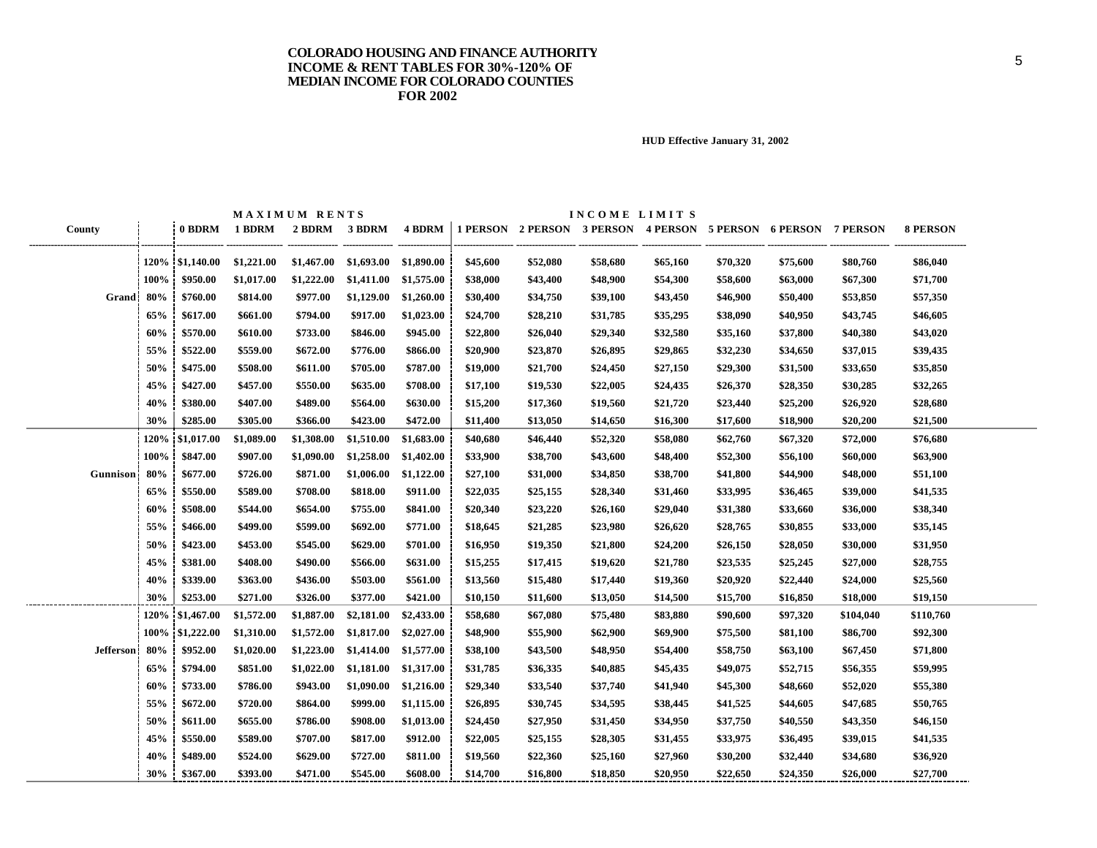|                  |      |                  |               | MAXIMUM RENTS |                       |            |          |          | INCOME LIMITS |                                                                |          |          |           |                 |
|------------------|------|------------------|---------------|---------------|-----------------------|------------|----------|----------|---------------|----------------------------------------------------------------|----------|----------|-----------|-----------------|
| County           |      |                  | 0 BDRM 1 BDRM | 2 BDRM        | 3 BDRM                | 4 BDRM     |          |          |               | 1 PERSON 2 PERSON 3 PERSON 4 PERSON 5 PERSON 6 PERSON 7 PERSON |          |          |           | <b>8 PERSON</b> |
|                  |      | 120\% \$1,140.00 | \$1,221.00    | \$1,467.00    | \$1,693.00 \$1,890.00 |            | \$45,600 | \$52,080 | \$58,680      | \$65,160                                                       | \$70,320 | \$75,600 | \$80,760  | \$86,040        |
|                  | 100% | \$950.00         | \$1,017.00    | \$1,222.00    | \$1,411.00            | \$1,575.00 | \$38,000 | \$43,400 | \$48,900      | \$54,300                                                       | \$58,600 | \$63,000 | \$67,300  | \$71,700        |
| Grand            | 80%  | \$760.00         | \$814.00      | \$977.00      | \$1,129.00            | \$1,260.00 | \$30,400 | \$34,750 | \$39,100      | \$43,450                                                       | \$46,900 | \$50,400 | \$53,850  | \$57,350        |
|                  | 65%  | \$617.00         | \$661.00      | \$794.00      | \$917.00              | \$1,023.00 | \$24,700 | \$28,210 | \$31,785      | \$35,295                                                       | \$38,090 | \$40,950 | \$43,745  | \$46,605        |
|                  | 60%  | \$570.00         | \$610.00      | \$733.00      | \$846.00              | \$945.00   | \$22,800 | \$26,040 | \$29,340      | \$32,580                                                       | \$35,160 | \$37,800 | \$40,380  | \$43,020        |
|                  | 55%  | \$522.00         | \$559.00      | \$672.00      | \$776.00              | \$866.00   | \$20,900 | \$23,870 | \$26,895      | \$29,865                                                       | \$32,230 | \$34,650 | \$37,015  | \$39,435        |
|                  | 50%  | \$475.00         | \$508.00      | \$611.00      | \$705.00              | \$787.00   | \$19,000 | \$21,700 | \$24,450      | \$27,150                                                       | \$29,300 | \$31,500 | \$33,650  | \$35,850        |
|                  | 45%  | \$427.00         | \$457.00      | \$550.00      | \$635.00              | \$708.00   | \$17,100 | \$19,530 | \$22,005      | \$24,435                                                       | \$26,370 | \$28,350 | \$30,285  | \$32,265        |
|                  | 40%  | \$380.00         | \$407.00      | \$489.00      | \$564.00              | \$630.00   | \$15,200 | \$17,360 | \$19,560      | \$21,720                                                       | \$23,440 | \$25,200 | \$26,920  | \$28,680        |
|                  | 30%  | \$285.00         | \$305.00      | \$366.00      | \$423.00              | \$472.00   | \$11,400 | \$13,050 | \$14,650      | \$16,300                                                       | \$17,600 | \$18,900 | \$20,200  | \$21,500        |
|                  | 120% | \$1,017.00       | \$1,089.00    | \$1,308.00    | \$1,510.00            | \$1,683.00 | \$40,680 | \$46,440 | \$52,320      | \$58,080                                                       | \$62,760 | \$67,320 | \$72,000  | \$76,680        |
|                  | 100% | \$847.00         | \$907.00      | \$1,090.00    | \$1,258.00            | \$1,402.00 | \$33,900 | \$38,700 | \$43,600      | \$48,400                                                       | \$52,300 | \$56,100 | \$60,000  | \$63,900        |
| Gunnison         | 80%  | \$677.00         | \$726.00      | \$871.00      | \$1,006.00            | \$1,122.00 | \$27,100 | \$31,000 | \$34,850      | \$38,700                                                       | \$41,800 | \$44,900 | \$48,000  | \$51,100        |
|                  | 65%  | \$550.00         | \$589.00      | \$708.00      | \$818.00              | \$911.00   | \$22,035 | \$25,155 | \$28,340      | \$31,460                                                       | \$33,995 | \$36,465 | \$39,000  | \$41,535        |
|                  | 60%  | \$508.00         | \$544.00      | \$654.00      | \$755.00              | \$841.00   | \$20,340 | \$23,220 | \$26,160      | \$29,040                                                       | \$31,380 | \$33,660 | \$36,000  | \$38,340        |
|                  | 55%  | \$466.00         | \$499.00      | \$599.00      | \$692.00              | \$771.00   | \$18,645 | \$21,285 | \$23,980      | \$26,620                                                       | \$28,765 | \$30,855 | \$33,000  | \$35,145        |
|                  | 50%  | \$423.00         | \$453.00      | \$545.00      | \$629.00              | \$701.00   | \$16,950 | \$19,350 | \$21,800      | \$24,200                                                       | \$26,150 | \$28,050 | \$30,000  | \$31,950        |
|                  | 45%  | \$381.00         | \$408.00      | \$490.00      | \$566.00              | \$631.00   | \$15,255 | \$17,415 | \$19,620      | \$21,780                                                       | \$23,535 | \$25,245 | \$27,000  | \$28,755        |
|                  | 40%  | \$339.00         | \$363.00      | \$436.00      | \$503.00              | \$561.00   | \$13,560 | \$15,480 | \$17,440      | \$19,360                                                       | \$20,920 | \$22,440 | \$24,000  | \$25,560        |
|                  | 30%  | \$253.00         | \$271.00      | \$326.00      | \$377.00              | \$421.00   | \$10,150 | \$11,600 | \$13,050      | \$14,500                                                       | \$15,700 | \$16,850 | \$18,000  | \$19,150        |
|                  |      | 120% \$1,467.00  | \$1,572.00    | \$1,887.00    | \$2,181.00            | \$2,433.00 | \$58,680 | \$67,080 | \$75,480      | \$83,880                                                       | \$90,600 | \$97,320 | \$104,040 | \$110,760       |
|                  |      | 100% \$1,222.00  | \$1,310.00    | \$1,572.00    | \$1,817.00            | \$2,027.00 | \$48,900 | \$55,900 | \$62,900      | \$69,900                                                       | \$75,500 | \$81,100 | \$86,700  | \$92,300        |
| <b>Jefferson</b> | 80%  | \$952.00         | \$1,020.00    | \$1,223.00    | \$1,414.00            | \$1,577.00 | \$38,100 | \$43,500 | \$48,950      | \$54,400                                                       | \$58,750 | \$63,100 | \$67,450  | \$71,800        |
|                  | 65%  | \$794.00         | \$851.00      | \$1,022.00    | \$1,181.00            | \$1,317.00 | \$31,785 | \$36,335 | \$40,885      | \$45,435                                                       | \$49,075 | \$52,715 | \$56,355  | \$59,995        |
|                  | 60%  | \$733.00         | \$786.00      | \$943.00      | \$1,090.00            | \$1,216.00 | \$29,340 | \$33,540 | \$37,740      | \$41,940                                                       | \$45,300 | \$48,660 | \$52,020  | \$55,380        |
|                  | 55%  | \$672.00         | \$720.00      | \$864.00      | \$999.00              | \$1,115.00 | \$26,895 | \$30,745 | \$34,595      | \$38,445                                                       | \$41,525 | \$44,605 | \$47,685  | \$50,765        |
|                  | 50%  | \$611.00         | \$655.00      | \$786.00      | \$908.00              | \$1,013.00 | \$24,450 | \$27,950 | \$31,450      | \$34,950                                                       | \$37,750 | \$40,550 | \$43,350  | \$46,150        |
|                  | 45%  | \$550.00         | \$589.00      | \$707.00      | \$817.00              | \$912.00   | \$22,005 | \$25,155 | \$28,305      | \$31,455                                                       | \$33,975 | \$36,495 | \$39,015  | \$41,535        |
|                  | 40%  | \$489.00         | \$524.00      | \$629.00      | \$727.00              | \$811.00   | \$19,560 | \$22,360 | \$25,160      | \$27,960                                                       | \$30,200 | \$32,440 | \$34,680  | \$36,920        |
|                  | 30%  | \$367.00         | \$393.00      | \$471.00      | \$545.00              | \$608.00   | \$14,700 | \$16,800 | \$18,850      | \$20,950                                                       | \$22,650 | \$24,350 | \$26,000  | \$27,700        |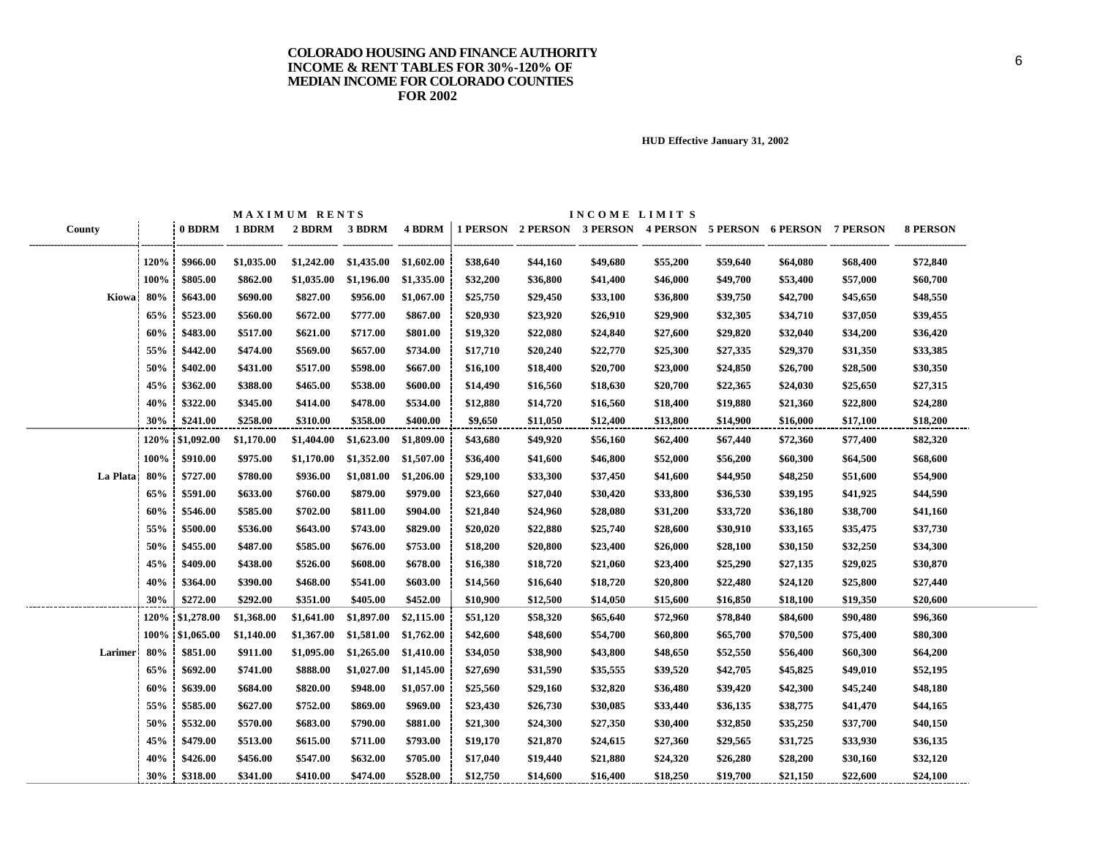|                |      |                 |            | MAXIMUM RENTS |            |            |          |          | INCOME LIMITS                                                  |          |          |          |          |                 |
|----------------|------|-----------------|------------|---------------|------------|------------|----------|----------|----------------------------------------------------------------|----------|----------|----------|----------|-----------------|
| County         |      | 0 BDRM          | 1 BDRM     | 2 BDRM 3 BDRM |            | 4 BDRM     |          |          | 1 PERSON 2 PERSON 3 PERSON 4 PERSON 5 PERSON 6 PERSON 7 PERSON |          |          |          |          | <b>8 PERSON</b> |
|                | 120% | \$966.00        | \$1,035.00 | \$1,242.00    | \$1,435.00 | \$1,602.00 | \$38,640 | \$44,160 | \$49,680                                                       | \$55,200 | \$59,640 | \$64,080 | \$68,400 | \$72,840        |
|                | 100% | \$805.00        | \$862.00   | \$1,035.00    | \$1,196.00 | \$1,335.00 | \$32,200 | \$36,800 | \$41,400                                                       | \$46,000 | \$49,700 | \$53,400 | \$57,000 | \$60,700        |
| Kiowa 80%      |      | \$643.00        | \$690.00   | \$827.00      | \$956.00   | \$1,067.00 | \$25,750 | \$29,450 | \$33,100                                                       | \$36,800 | \$39,750 | \$42,700 | \$45,650 | \$48,550        |
|                | 65%  | \$523.00        | \$560.00   | \$672.00      | \$777.00   | \$867.00   | \$20,930 | \$23,920 | \$26,910                                                       | \$29,900 | \$32,305 | \$34,710 | \$37,050 | \$39,455        |
|                | 60%  | \$483.00        | \$517.00   | \$621.00      | \$717.00   | \$801.00   | \$19,320 | \$22,080 | \$24,840                                                       | \$27,600 | \$29,820 | \$32,040 | \$34,200 | \$36,420        |
|                | 55%  | \$442.00        | \$474.00   | \$569.00      | \$657.00   | \$734.00   | \$17,710 | \$20,240 | \$22,770                                                       | \$25,300 | \$27,335 | \$29,370 | \$31,350 | \$33,385        |
|                | 50%  | \$402.00        | \$431.00   | \$517.00      | \$598.00   | \$667.00   | \$16,100 | \$18,400 | \$20,700                                                       | \$23,000 | \$24,850 | \$26,700 | \$28,500 | \$30,350        |
|                | 45%  | \$362.00        | \$388.00   | \$465.00      | \$538.00   | \$600.00   | \$14,490 | \$16,560 | \$18,630                                                       | \$20,700 | \$22,365 | \$24,030 | \$25,650 | \$27,315        |
|                | 40%  | \$322.00        | \$345.00   | \$414.00      | \$478.00   | \$534.00   | \$12,880 | \$14,720 | \$16,560                                                       | \$18,400 | \$19,880 | \$21,360 | \$22,800 | \$24,280        |
|                | 30%  | \$241.00        | \$258.00   | \$310.00      | \$358.00   | \$400.00   | \$9,650  | \$11,050 | \$12,400                                                       | \$13,800 | \$14,900 | \$16,000 | \$17,100 | \$18,200        |
|                |      | 120% \$1,092.00 | \$1,170.00 | \$1,404.00    | \$1,623.00 | \$1,809.00 | \$43,680 | \$49,920 | \$56,160                                                       | \$62,400 | \$67,440 | \$72,360 | \$77,400 | \$82,320        |
|                | 100% | \$910.00        | \$975.00   | \$1,170.00    | \$1,352.00 | \$1,507.00 | \$36,400 | \$41,600 | \$46,800                                                       | \$52,000 | \$56,200 | \$60,300 | \$64,500 | \$68,600        |
| La Plata 80%   |      | \$727.00        | \$780.00   | \$936.00      | \$1,081.00 | \$1,206.00 | \$29,100 | \$33,300 | \$37,450                                                       | \$41,600 | \$44,950 | \$48,250 | \$51,600 | \$54,900        |
|                | 65%  | \$591.00        | \$633.00   | \$760.00      | \$879.00   | \$979.00   | \$23,660 | \$27,040 | \$30,420                                                       | \$33,800 | \$36,530 | \$39,195 | \$41,925 | \$44,590        |
|                | 60%  | \$546.00        | \$585.00   | \$702.00      | \$811.00   | \$904.00   | \$21,840 | \$24,960 | \$28,080                                                       | \$31,200 | \$33,720 | \$36,180 | \$38,700 | \$41,160        |
|                | 55%  | \$500.00        | \$536.00   | \$643.00      | \$743.00   | \$829.00   | \$20,020 | \$22,880 | \$25,740                                                       | \$28,600 | \$30,910 | \$33,165 | \$35,475 | \$37,730        |
|                | 50%  | \$455.00        | \$487.00   | \$585.00      | \$676.00   | \$753.00   | \$18,200 | \$20,800 | \$23,400                                                       | \$26,000 | \$28,100 | \$30,150 | \$32,250 | \$34,300        |
|                | 45%  | \$409.00        | \$438.00   | \$526.00      | \$608.00   | \$678.00   | \$16,380 | \$18,720 | \$21,060                                                       | \$23,400 | \$25,290 | \$27,135 | \$29,025 | \$30,870        |
|                | 40%  | \$364.00        | \$390.00   | \$468.00      | \$541.00   | \$603.00   | \$14,560 | \$16,640 | \$18,720                                                       | \$20,800 | \$22,480 | \$24,120 | \$25,800 | \$27,440        |
|                | 30%  | \$272.00        | \$292.00   | \$351.00      | \$405.00   | \$452.00   | \$10,900 | \$12,500 | \$14,050                                                       | \$15,600 | \$16,850 | \$18,100 | \$19,350 | \$20,600        |
|                | 120% | \$1,278.00      | \$1,368.00 | \$1,641.00    | \$1,897.00 | \$2,115.00 | \$51,120 | \$58,320 | \$65,640                                                       | \$72,960 | \$78,840 | \$84,600 | \$90,480 | \$96,360        |
|                |      | 100% \$1,065.00 | \$1,140.00 | \$1,367.00    | \$1,581.00 | \$1,762.00 | \$42,600 | \$48,600 | \$54,700                                                       | \$60,800 | \$65,700 | \$70,500 | \$75,400 | \$80,300        |
| <b>Larimer</b> | 80%  | \$851.00        | \$911.00   | \$1,095.00    | \$1,265.00 | \$1,410.00 | \$34,050 | \$38,900 | \$43,800                                                       | \$48,650 | \$52,550 | \$56,400 | \$60,300 | \$64,200        |
|                | 65%  | \$692.00        | \$741.00   | \$888.00      | \$1,027.00 | \$1,145.00 | \$27,690 | \$31,590 | \$35,555                                                       | \$39,520 | \$42,705 | \$45,825 | \$49,010 | \$52,195        |
|                | 60%  | \$639.00        | \$684.00   | \$820.00      | \$948.00   | \$1,057.00 | \$25,560 | \$29,160 | \$32,820                                                       | \$36,480 | \$39,420 | \$42,300 | \$45,240 | \$48,180        |
|                | 55%  | \$585.00        | \$627.00   | \$752.00      | \$869.00   | \$969.00   | \$23,430 | \$26,730 | \$30,085                                                       | \$33,440 | \$36,135 | \$38,775 | \$41,470 | \$44,165        |
|                | 50%  | \$532.00        | \$570.00   | \$683.00      | \$790.00   | \$881.00   | \$21,300 | \$24,300 | \$27,350                                                       | \$30,400 | \$32,850 | \$35,250 | \$37,700 | \$40,150        |
|                | 45%  | \$479.00        | \$513.00   | \$615.00      | \$711.00   | \$793.00   | \$19,170 | \$21,870 | \$24,615                                                       | \$27,360 | \$29,565 | \$31,725 | \$33,930 | \$36,135        |
|                | 40%  | \$426.00        | \$456.00   | \$547.00      | \$632.00   | \$705.00   | \$17,040 | \$19,440 | \$21,880                                                       | \$24,320 | \$26,280 | \$28,200 | \$30,160 | \$32,120        |
|                | 30%  | \$318.00        | \$341.00   | \$410.00      | \$474.00   | \$528.00   | \$12,750 | \$14,600 | \$16,400                                                       | \$18,250 | \$19,700 | \$21,150 | \$22,600 | \$24,100        |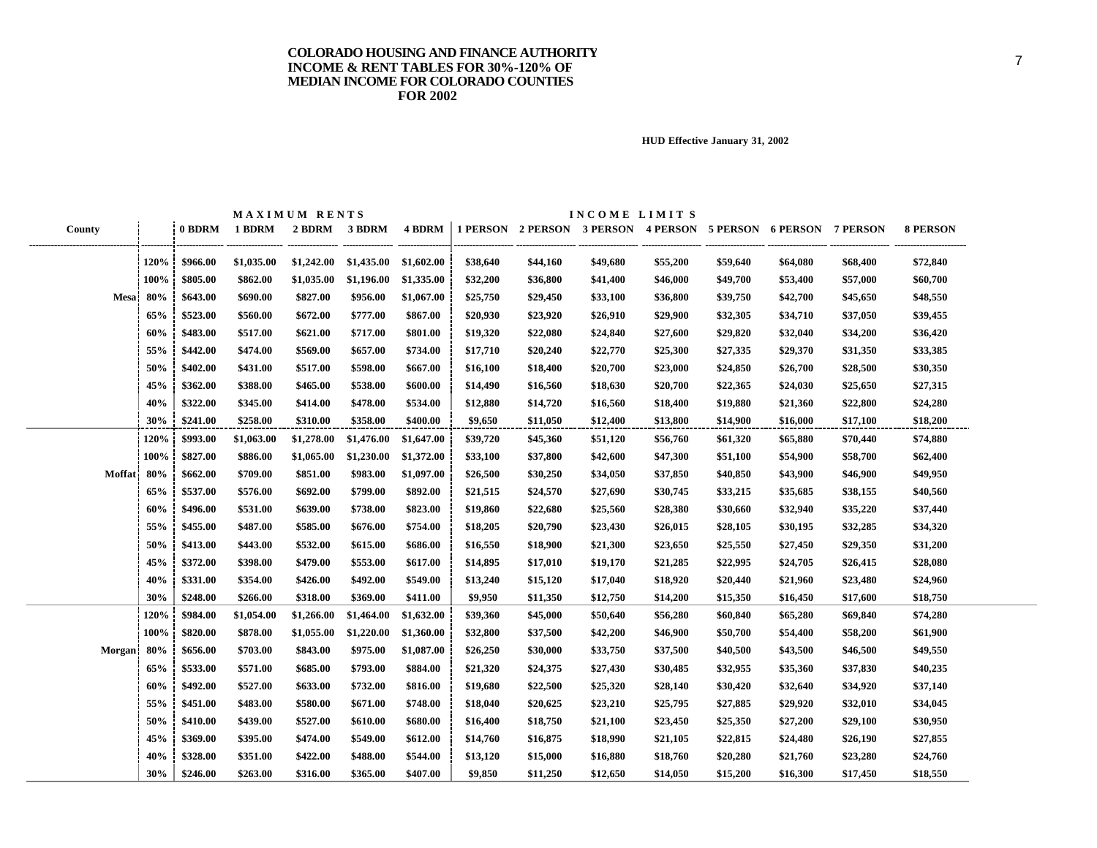|                 |             |          |            | MAXIMUM RENTS |               |            |          |          | INCOME LIMITS |                                                                |          |          |          |                 |
|-----------------|-------------|----------|------------|---------------|---------------|------------|----------|----------|---------------|----------------------------------------------------------------|----------|----------|----------|-----------------|
| County          |             | 0 BDRM   | 1 BDRM     |               | 2 BDRM 3 BDRM | 4 BDRM     |          |          |               | 1 PERSON 2 PERSON 3 PERSON 4 PERSON 5 PERSON 6 PERSON 7 PERSON |          |          |          | <b>8 PERSON</b> |
|                 | <b>120%</b> | \$966.00 | \$1,035.00 | \$1,242.00    | \$1,435.00    | \$1,602.00 | \$38,640 | \$44,160 | \$49,680      | \$55,200                                                       | \$59,640 | \$64,080 | \$68,400 | \$72,840        |
|                 | 100%        | \$805.00 | \$862.00   | \$1,035.00    | \$1,196.00    | \$1,335.00 | \$32,200 | \$36,800 | \$41,400      |                                                                | \$49,700 | \$53,400 | \$57,000 | \$60,700        |
| <b>Mesa</b> 80% |             | \$643.00 | \$690.00   | \$827.00      | \$956.00      | \$1,067.00 | \$25,750 | \$29,450 | \$33,100      | \$46,000<br>\$36,800                                           | \$39,750 | \$42,700 | \$45,650 | \$48,550        |
|                 |             |          |            |               |               |            |          |          |               |                                                                |          |          |          |                 |
|                 | 65%         | \$523.00 | \$560.00   | \$672.00      | \$777.00      | \$867.00   | \$20,930 | \$23,920 | \$26,910      | \$29,900                                                       | \$32,305 | \$34,710 | \$37,050 | \$39,455        |
|                 | 60%         | \$483.00 | \$517.00   | \$621.00      | \$717.00      | \$801.00   | \$19,320 | \$22,080 | \$24,840      | \$27,600                                                       | \$29,820 | \$32,040 | \$34,200 | \$36,420        |
|                 | 55%         | \$442.00 | \$474.00   | \$569.00      | \$657.00      | \$734.00   | \$17,710 | \$20,240 | \$22,770      | \$25,300                                                       | \$27,335 | \$29,370 | \$31,350 | \$33,385        |
|                 | 50%         | \$402.00 | \$431.00   | \$517.00      | \$598.00      | \$667.00   | \$16,100 | \$18,400 | \$20,700      | \$23,000                                                       | \$24,850 | \$26,700 | \$28,500 | \$30,350        |
|                 | 45%         | \$362.00 | \$388.00   | \$465.00      | \$538.00      | \$600.00   | \$14,490 | \$16,560 | \$18,630      | \$20,700                                                       | \$22,365 | \$24,030 | \$25,650 | \$27,315        |
|                 | 40%         | \$322.00 | \$345.00   | \$414.00      | \$478.00      | \$534.00   | \$12,880 | \$14,720 | \$16,560      | \$18,400                                                       | \$19,880 | \$21,360 | \$22,800 | \$24,280        |
|                 | 30%         | \$241.00 | \$258.00   | \$310.00      | \$358.00      | \$400.00   | \$9,650  | \$11,050 | \$12,400      | \$13,800                                                       | \$14,900 | \$16,000 | \$17,100 | \$18,200        |
|                 | 120%        | \$993.00 | \$1,063.00 | \$1,278.00    | \$1,476.00    | \$1,647.00 | \$39,720 | \$45,360 | \$51,120      | \$56,760                                                       | \$61,320 | \$65,880 | \$70,440 | \$74,880        |
|                 | 100%        | \$827.00 | \$886.00   | \$1,065.00    | \$1,230.00    | \$1,372.00 | \$33,100 | \$37,800 | \$42,600      | \$47,300                                                       | \$51,100 | \$54,900 | \$58,700 | \$62,400        |
| Moffat 80%      |             | \$662.00 | \$709.00   | \$851.00      | \$983.00      | \$1,097.00 | \$26,500 | \$30,250 | \$34,050      | \$37,850                                                       | \$40,850 | \$43,900 | \$46,900 | \$49,950        |
|                 | 65%         | \$537.00 | \$576.00   | \$692.00      | \$799.00      | \$892.00   | \$21,515 | \$24,570 | \$27,690      | \$30,745                                                       | \$33,215 | \$35,685 | \$38,155 | \$40,560        |
|                 | 60%         | \$496.00 | \$531.00   | \$639.00      | \$738.00      | \$823.00   | \$19,860 | \$22,680 | \$25,560      | \$28,380                                                       | \$30,660 | \$32,940 | \$35,220 | \$37,440        |
|                 | 55%         | \$455.00 | \$487.00   | \$585.00      | \$676.00      | \$754.00   | \$18,205 | \$20,790 | \$23,430      | \$26,015                                                       | \$28,105 | \$30,195 | \$32,285 | \$34,320        |
|                 | 50%         | \$413.00 | \$443.00   | \$532.00      | \$615.00      | \$686.00   | \$16,550 | \$18,900 | \$21,300      | \$23,650                                                       | \$25,550 | \$27,450 | \$29,350 | \$31,200        |
|                 | 45%         | \$372.00 | \$398.00   | \$479.00      | \$553.00      | \$617.00   | \$14,895 | \$17,010 | \$19,170      | \$21,285                                                       | \$22,995 | \$24,705 | \$26,415 | \$28,080        |
|                 | 40%         | \$331.00 | \$354.00   | \$426.00      | \$492.00      | \$549.00   | \$13,240 | \$15,120 | \$17,040      | \$18,920                                                       | \$20,440 | \$21,960 | \$23,480 | \$24,960        |
|                 | 30%         | \$248.00 | \$266.00   | \$318.00      | \$369.00      | \$411.00   | \$9,950  | \$11,350 | \$12,750      | \$14,200                                                       | \$15,350 | \$16,450 | \$17,600 | \$18,750        |
|                 | 120%        | \$984.00 | \$1,054.00 | \$1,266.00    | \$1,464.00    | \$1,632.00 | \$39,360 | \$45,000 | \$50,640      | \$56,280                                                       | \$60,840 | \$65,280 | \$69,840 | \$74,280        |
|                 | 100%        | \$820.00 | \$878.00   | \$1,055.00    | \$1,220.00    | \$1,360.00 | \$32,800 | \$37,500 | \$42,200      | \$46,900                                                       | \$50,700 | \$54,400 | \$58,200 | \$61,900        |
| <b>Morgan</b>   | 80%         | \$656.00 | \$703.00   | \$843.00      | \$975.00      | \$1,087.00 | \$26,250 | \$30,000 | \$33,750      | \$37,500                                                       | \$40,500 | \$43,500 | \$46,500 | \$49,550        |
|                 | 65%         | \$533.00 | \$571.00   | \$685.00      | \$793.00      | \$884.00   | \$21,320 | \$24,375 | \$27,430      | \$30,485                                                       | \$32,955 | \$35,360 | \$37,830 | \$40,235        |
|                 | 60%         | \$492.00 | \$527.00   | \$633.00      | \$732.00      | \$816.00   | \$19,680 | \$22,500 | \$25,320      | \$28,140                                                       | \$30,420 | \$32,640 | \$34,920 | \$37,140        |
|                 | 55%         | \$451.00 | \$483.00   | \$580.00      | \$671.00      | \$748.00   | \$18,040 | \$20,625 | \$23,210      | \$25,795                                                       | \$27,885 | \$29,920 | \$32,010 | \$34,045        |
|                 | 50%         | \$410.00 | \$439.00   | \$527.00      | \$610.00      | \$680.00   | \$16,400 | \$18,750 | \$21,100      | \$23,450                                                       | \$25,350 | \$27,200 | \$29,100 | \$30,950        |
|                 | 45%         | \$369.00 | \$395.00   | \$474.00      | \$549.00      | \$612.00   | \$14,760 | \$16,875 | \$18,990      | \$21,105                                                       | \$22,815 | \$24,480 | \$26,190 | \$27,855        |
|                 | 40%         | \$328.00 | \$351.00   | \$422.00      | \$488.00      | \$544.00   | \$13,120 | \$15,000 | \$16,880      | \$18,760                                                       | \$20,280 | \$21,760 | \$23,280 | \$24,760        |
|                 | 30%         | \$246.00 | \$263.00   | \$316.00      | \$365.00      | \$407.00   | \$9,850  | \$11,250 | \$12,650      | \$14,050                                                       | \$15,200 | \$16,300 | \$17,450 | \$18,550        |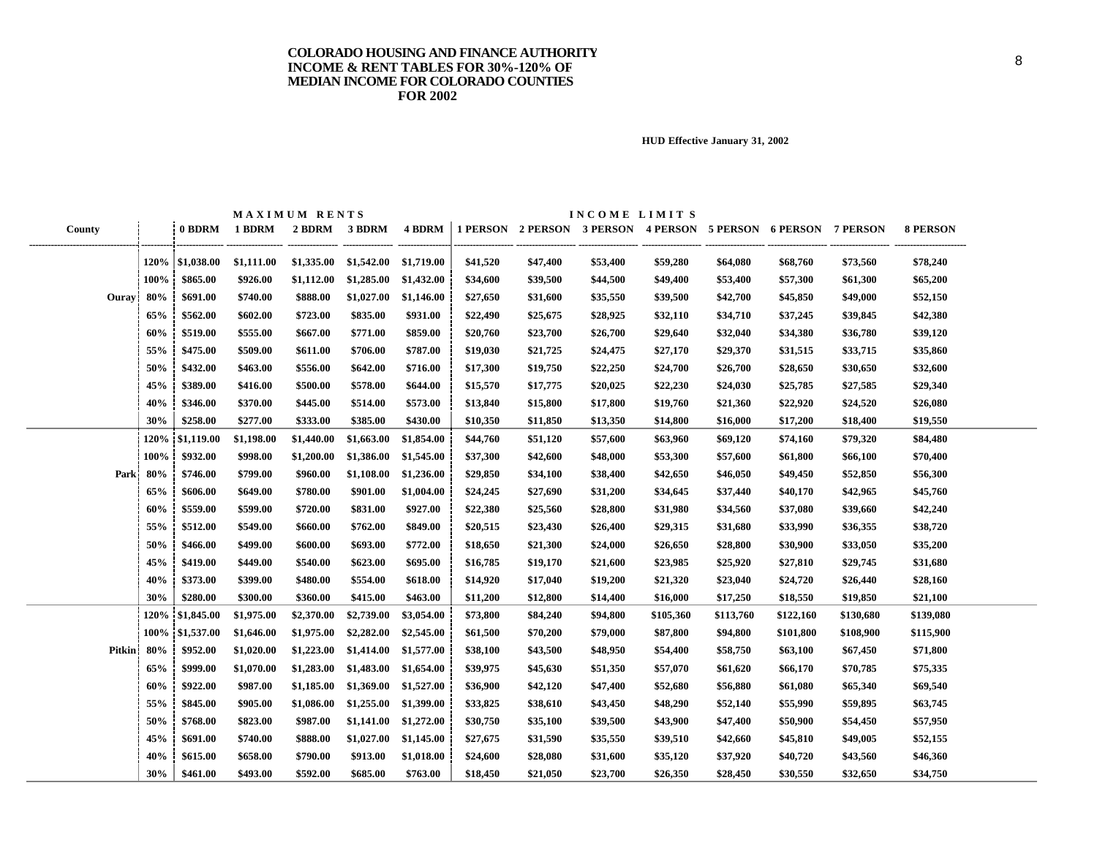|        |         |                      |               | MAXIMUM RENTS |                                     |            |          |          | INCOME LIMITS |                                                                                     |           |           |           |                 |
|--------|---------|----------------------|---------------|---------------|-------------------------------------|------------|----------|----------|---------------|-------------------------------------------------------------------------------------|-----------|-----------|-----------|-----------------|
| County |         |                      | 0 BDRM 1 BDRM |               |                                     |            |          |          |               | 2 BDRM 3 BDRM 4 BDRM 1 PERSON 2 PERSON 3 PERSON 4 PERSON 5 PERSON 6 PERSON 7 PERSON |           |           |           | <b>8 PERSON</b> |
|        |         | $120\%$   \$1,038.00 | \$1,111.00    |               | $$1,335.00$ $$1,542.00$ $$1,719.00$ |            | \$41,520 | \$47,400 | \$53,400      | \$59,280                                                                            | \$64,080  | \$68,760  | \$73,560  | \$78,240        |
|        | 100%    | \$865.00             | \$926.00      | \$1,112.00    | \$1,285.00                          | \$1,432.00 | \$34,600 | \$39,500 | \$44,500      | \$49,400                                                                            | \$53,400  | \$57,300  | \$61,300  | \$65,200        |
| Ouray  | 80%     | \$691.00             | \$740.00      | \$888.00      | \$1,027.00                          | \$1,146.00 | \$27,650 | \$31,600 | \$35,550      | \$39,500                                                                            | \$42,700  | \$45,850  | \$49,000  | \$52,150        |
|        | 65%     | \$562.00             | \$602.00      | \$723.00      | \$835.00                            | \$931.00   | \$22,490 | \$25,675 | \$28,925      | \$32,110                                                                            | \$34,710  | \$37,245  | \$39,845  | \$42,380        |
|        | 60%     | \$519.00             | \$555.00      | \$667.00      | \$771.00                            | \$859.00   | \$20,760 | \$23,700 | \$26,700      | \$29,640                                                                            | \$32,040  | \$34,380  | \$36,780  | \$39,120        |
|        | 55%     | \$475.00             | \$509.00      | \$611.00      | \$706.00                            | \$787.00   | \$19,030 | \$21,725 | \$24,475      | \$27,170                                                                            | \$29,370  | \$31,515  | \$33,715  | \$35,860        |
|        | 50%     | \$432.00             | \$463.00      | \$556.00      | \$642.00                            | \$716.00   | \$17,300 | \$19,750 | \$22,250      | \$24,700                                                                            | \$26,700  | \$28,650  | \$30,650  | \$32,600        |
|        | 45%     | \$389.00             | \$416.00      | \$500.00      | \$578.00                            | \$644.00   | \$15,570 | \$17,775 | \$20,025      | \$22,230                                                                            | \$24,030  | \$25,785  | \$27,585  | \$29,340        |
|        | 40%     | \$346.00             | \$370.00      | \$445.00      | \$514.00                            | \$573.00   | \$13,840 | \$15,800 | \$17,800      | \$19,760                                                                            | \$21,360  | \$22,920  | \$24,520  | \$26,080        |
|        | 30%     | \$258.00             | \$277.00      | \$333.00      | \$385.00                            | \$430.00   | \$10,350 | \$11,850 | \$13,350      | \$14,800                                                                            | \$16,000  | \$17,200  | \$18,400  | \$19,550        |
|        | 120%    | \$1,119.00           | \$1,198.00    | \$1,440.00    | \$1,663.00                          | \$1,854.00 | \$44,760 | \$51,120 | \$57,600      | \$63,960                                                                            | \$69,120  | \$74,160  | \$79,320  | \$84,480        |
|        | 100%    | \$932.00             | \$998.00      | \$1,200.00    | \$1,386.00                          | \$1,545.00 | \$37,300 | \$42,600 | \$48,000      | \$53,300                                                                            | \$57,600  | \$61,800  | \$66,100  | \$70,400        |
| Park   | 80%     | \$746.00             | \$799.00      | \$960.00      | \$1,108.00                          | \$1,236.00 | \$29,850 | \$34,100 | \$38,400      | \$42,650                                                                            | \$46,050  | \$49,450  | \$52,850  | \$56,300        |
|        | 65%     | \$606.00             | \$649.00      | \$780.00      | \$901.00                            | \$1,004.00 | \$24,245 | \$27,690 | \$31,200      | \$34,645                                                                            | \$37,440  | \$40,170  | \$42,965  | \$45,760        |
|        | 60%     | \$559.00             | \$599.00      | \$720.00      | \$831.00                            | \$927.00   | \$22,380 | \$25,560 | \$28,800      | \$31,980                                                                            | \$34,560  | \$37,080  | \$39,660  | \$42,240        |
|        | 55%     | \$512.00             | \$549.00      | \$660.00      | \$762.00                            | \$849.00   | \$20,515 | \$23,430 | \$26,400      | \$29,315                                                                            | \$31,680  | \$33,990  | \$36,355  | \$38,720        |
|        | 50%     | \$466.00             | \$499.00      | \$600.00      | \$693.00                            | \$772.00   | \$18,650 | \$21,300 | \$24,000      | \$26,650                                                                            | \$28,800  | \$30,900  | \$33,050  | \$35,200        |
|        | 45%     | \$419.00             | \$449.00      | \$540.00      | \$623.00                            | \$695.00   | \$16,785 | \$19,170 | \$21,600      | \$23,985                                                                            | \$25,920  | \$27,810  | \$29,745  | \$31,680        |
|        | 40%     | \$373.00             | \$399.00      | \$480.00      | \$554.00                            | \$618.00   | \$14,920 | \$17,040 | \$19,200      | \$21,320                                                                            | \$23,040  | \$24,720  | \$26,440  | \$28,160        |
|        | 30%     | \$280.00             | \$300.00      | \$360.00      | \$415.00                            | \$463.00   | \$11,200 | \$12,800 | \$14,400      | \$16,000                                                                            | \$17,250  | \$18,550  | \$19,850  | \$21,100        |
|        | 120%    | \$1,845.00           | \$1,975.00    | \$2,370.00    | \$2,739.00                          | \$3,054.00 | \$73,800 | \$84,240 | \$94,800      | \$105,360                                                                           | \$113,760 | \$122,160 | \$130,680 | \$139,080       |
|        | $100\%$ | \$1,537.00           | \$1,646.00    | \$1,975.00    | \$2,282.00                          | \$2,545.00 | \$61,500 | \$70,200 | \$79,000      | \$87,800                                                                            | \$94,800  | \$101,800 | \$108,900 | \$115,900       |
| Pitkin | 80%     | \$952.00             | \$1,020.00    | \$1,223.00    | \$1,414.00                          | \$1,577.00 | \$38,100 | \$43,500 | \$48,950      | \$54,400                                                                            | \$58,750  | \$63,100  | \$67,450  | \$71,800        |
|        | 65%     | \$999.00             | \$1,070.00    | \$1,283.00    | \$1,483.00                          | \$1,654.00 | \$39,975 | \$45,630 | \$51,350      | \$57,070                                                                            | \$61,620  | \$66,170  | \$70,785  | \$75,335        |
|        | 60%     | \$922.00             | \$987.00      | \$1,185.00    | \$1,369.00                          | \$1,527.00 | \$36,900 | \$42,120 | \$47,400      | \$52,680                                                                            | \$56,880  | \$61,080  | \$65,340  | \$69,540        |
|        | 55%     | \$845.00             | \$905.00      | \$1,086.00    | \$1,255.00                          | \$1,399.00 | \$33,825 | \$38,610 | \$43,450      | \$48,290                                                                            | \$52,140  | \$55,990  | \$59,895  | \$63,745        |
|        | 50%     | \$768.00             | \$823.00      | \$987.00      | \$1,141.00                          | \$1,272.00 | \$30,750 | \$35,100 | \$39,500      | \$43,900                                                                            | \$47,400  | \$50,900  | \$54,450  | \$57,950        |
|        | 45%     | \$691.00             | \$740.00      | \$888.00      | \$1,027.00                          | \$1,145.00 | \$27,675 | \$31,590 | \$35,550      | \$39,510                                                                            | \$42,660  | \$45,810  | \$49,005  | \$52,155        |
|        | 40%     | \$615.00             | \$658.00      | \$790.00      | \$913.00                            | \$1,018.00 | \$24,600 | \$28,080 | \$31,600      | \$35,120                                                                            | \$37,920  | \$40,720  | \$43,560  | \$46,360        |
|        | 30%     | \$461.00             | \$493.00      | \$592.00      | \$685.00                            | \$763.00   | \$18,450 | \$21,050 | \$23,700      | \$26,350                                                                            | \$28,450  | \$30,550  | \$32,650  | \$34,750        |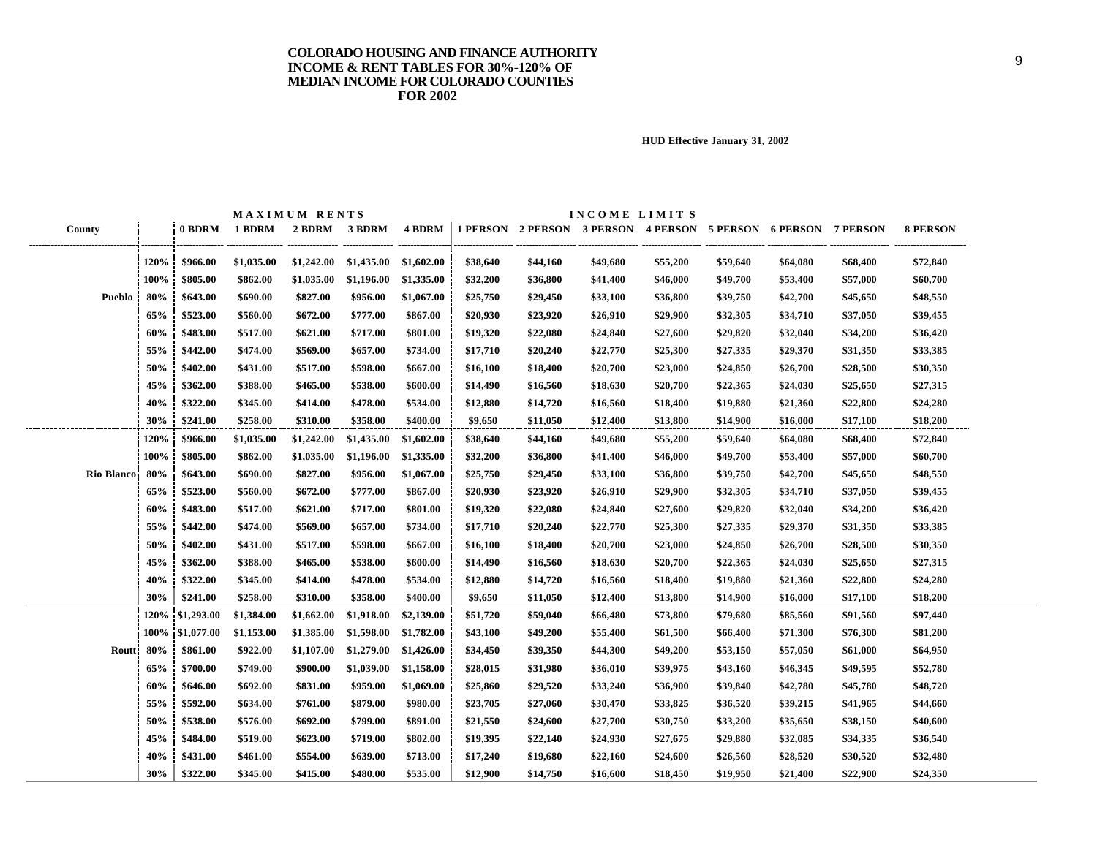|                |      |                      |            | MAXIMUM RENTS |            |               |          |                                                       | INCOME LIMITS |          |          |          |          |                 |
|----------------|------|----------------------|------------|---------------|------------|---------------|----------|-------------------------------------------------------|---------------|----------|----------|----------|----------|-----------------|
| County         |      | 0 BDRM               | 1 BDRM     | 2 BDRM        | 3 BDRM     | <b>4 BDRM</b> |          | 1 PERSON 2 PERSON 3 PERSON 4 PERSON 5 PERSON 6 PERSON |               |          |          |          | 7 PERSON | <b>8 PERSON</b> |
|                | 120% |                      |            | \$1,242.00    | \$1,435.00 | \$1,602.00    | \$38,640 |                                                       | \$49,680      |          |          |          | \$68,400 | \$72,840        |
|                |      | \$966.00<br>\$805.00 | \$1,035.00 |               |            |               |          | \$44,160                                              |               | \$55,200 | \$59,640 | \$64,080 |          |                 |
|                | 100% |                      | \$862.00   | \$1,035.00    | \$1,196.00 | \$1,335.00    | \$32,200 | \$36,800                                              | \$41,400      | \$46,000 | \$49,700 | \$53,400 | \$57,000 | \$60,700        |
| Pueblo         | 80%  | \$643.00             | \$690.00   | \$827.00      | \$956.00   | \$1,067.00    | \$25,750 | \$29,450                                              | \$33,100      | \$36,800 | \$39,750 | \$42,700 | \$45,650 | \$48,550        |
|                | 65%  | \$523.00             | \$560.00   | \$672.00      | \$777.00   | \$867.00      | \$20,930 | \$23,920                                              | \$26,910      | \$29,900 | \$32,305 | \$34,710 | \$37,050 | \$39,455        |
|                | 60%  | \$483.00             | \$517.00   | \$621.00      | \$717.00   | \$801.00      | \$19,320 | \$22,080                                              | \$24,840      | \$27,600 | \$29,820 | \$32,040 | \$34,200 | \$36,420        |
|                | 55%  | \$442.00             | \$474.00   | \$569.00      | \$657.00   | \$734.00      | \$17,710 | \$20,240                                              | \$22,770      | \$25,300 | \$27,335 | \$29,370 | \$31,350 | \$33,385        |
|                | 50%  | \$402.00             | \$431.00   | \$517.00      | \$598.00   | \$667.00      | \$16,100 | \$18,400                                              | \$20,700      | \$23,000 | \$24,850 | \$26,700 | \$28,500 | \$30,350        |
|                | 45%  | \$362.00             | \$388.00   | \$465.00      | \$538.00   | \$600.00      | \$14,490 | \$16,560                                              | \$18,630      | \$20,700 | \$22,365 | \$24,030 | \$25,650 | \$27,315        |
|                | 40%  | \$322.00             | \$345.00   | \$414.00      | \$478.00   | \$534.00      | \$12,880 | \$14,720                                              | \$16,560      | \$18,400 | \$19,880 | \$21,360 | \$22,800 | \$24,280        |
|                | 30%  | \$241.00             | \$258.00   | \$310.00      | \$358.00   | \$400.00      | \$9,650  | \$11,050                                              | \$12,400      | \$13,800 | \$14,900 | \$16,000 | \$17,100 | \$18,200        |
|                | 120% | \$966.00             | \$1,035.00 | \$1,242.00    | \$1,435.00 | \$1,602.00    | \$38,640 | \$44,160                                              | \$49,680      | \$55,200 | \$59,640 | \$64,080 | \$68,400 | \$72,840        |
|                | 100% | \$805.00             | \$862.00   | \$1,035.00    | \$1,196.00 | \$1,335.00    | \$32,200 | \$36,800                                              | \$41,400      | \$46,000 | \$49,700 | \$53,400 | \$57,000 | \$60,700        |
| Rio Blanco 80% |      | \$643.00             | \$690.00   | \$827.00      | \$956.00   | \$1,067.00    | \$25,750 | \$29,450                                              | \$33,100      | \$36,800 | \$39,750 | \$42,700 | \$45,650 | \$48,550        |
|                | 65%  | \$523.00             | \$560.00   | \$672.00      | \$777.00   | \$867.00      | \$20,930 | \$23,920                                              | \$26,910      | \$29,900 | \$32,305 | \$34,710 | \$37,050 | \$39,455        |
|                | 60%  | \$483.00             | \$517.00   | \$621.00      | \$717.00   | \$801.00      | \$19,320 | \$22,080                                              | \$24,840      | \$27,600 | \$29,820 | \$32,040 | \$34,200 | \$36,420        |
|                | 55%  | \$442.00             | \$474.00   | \$569.00      | \$657.00   | \$734.00      | \$17,710 | \$20,240                                              | \$22,770      | \$25,300 | \$27,335 | \$29,370 | \$31,350 | \$33,385        |
|                | 50%  | \$402.00             | \$431.00   | \$517.00      | \$598.00   | \$667.00      | \$16,100 | \$18,400                                              | \$20,700      | \$23,000 | \$24,850 | \$26,700 | \$28,500 | \$30,350        |
|                | 45%  | \$362.00             | \$388.00   | \$465.00      | \$538.00   | \$600.00      | \$14,490 | \$16,560                                              | \$18,630      | \$20,700 | \$22,365 | \$24,030 | \$25,650 | \$27,315        |
|                | 40%  | \$322.00             | \$345.00   | \$414.00      | \$478.00   | \$534.00      | \$12,880 | \$14,720                                              | \$16,560      | \$18,400 | \$19,880 | \$21,360 | \$22,800 | \$24,280        |
|                | 30%  | \$241.00             | \$258.00   | \$310.00      | \$358.00   | \$400.00      | \$9,650  | \$11,050                                              | \$12,400      | \$13,800 | \$14,900 | \$16,000 | \$17,100 | \$18,200        |
|                |      | 120% \$1,293.00      | \$1,384.00 | \$1,662.00    | \$1,918.00 | \$2,139.00    | \$51,720 | \$59,040                                              | \$66,480      | \$73,800 | \$79,680 | \$85,560 | \$91,560 | \$97,440        |
|                |      | 100% \$1,077.00      | \$1,153.00 | \$1,385.00    | \$1,598.00 | \$1,782.00    | \$43,100 | \$49,200                                              | \$55,400      | \$61,500 | \$66,400 | \$71,300 | \$76,300 | \$81,200        |
| Routt 80%      |      | \$861.00             | \$922.00   | \$1,107.00    | \$1,279.00 | \$1,426.00    | \$34,450 | \$39,350                                              | \$44,300      | \$49,200 | \$53,150 | \$57,050 | \$61,000 | \$64,950        |
|                | 65%  | \$700.00             | \$749.00   | \$900.00      | \$1,039.00 | \$1,158.00    | \$28,015 | \$31,980                                              | \$36,010      | \$39,975 | \$43,160 | \$46,345 | \$49,595 | \$52,780        |
|                | 60%  | \$646.00             | \$692.00   | \$831.00      | \$959.00   | \$1,069.00    | \$25,860 | \$29,520                                              | \$33,240      | \$36,900 | \$39,840 | \$42,780 | \$45,780 | \$48,720        |
|                | 55%  | \$592.00             | \$634.00   | \$761.00      | \$879.00   | \$980.00      | \$23,705 | \$27,060                                              | \$30,470      | \$33,825 | \$36,520 | \$39,215 | \$41,965 | \$44,660        |
|                | 50%  | \$538.00             | \$576.00   | \$692.00      | \$799.00   | \$891.00      | \$21,550 | \$24,600                                              | \$27,700      | \$30,750 | \$33,200 | \$35,650 | \$38,150 | \$40,600        |
|                | 45%  | \$484.00             | \$519.00   | \$623.00      | \$719.00   | \$802.00      | \$19,395 | \$22,140                                              | \$24,930      | \$27,675 | \$29,880 | \$32,085 | \$34,335 | \$36,540        |
|                | 40%  | \$431.00             | \$461.00   | \$554.00      | \$639.00   | \$713.00      | \$17,240 | \$19,680                                              | \$22,160      | \$24,600 | \$26,560 | \$28,520 | \$30,520 | \$32,480        |
|                | 30%  | \$322.00             | \$345.00   | \$415.00      | \$480.00   | \$535.00      | \$12,900 | \$14,750                                              | \$16,600      | \$18,450 | \$19,950 | \$21,400 | \$22,900 | \$24,350        |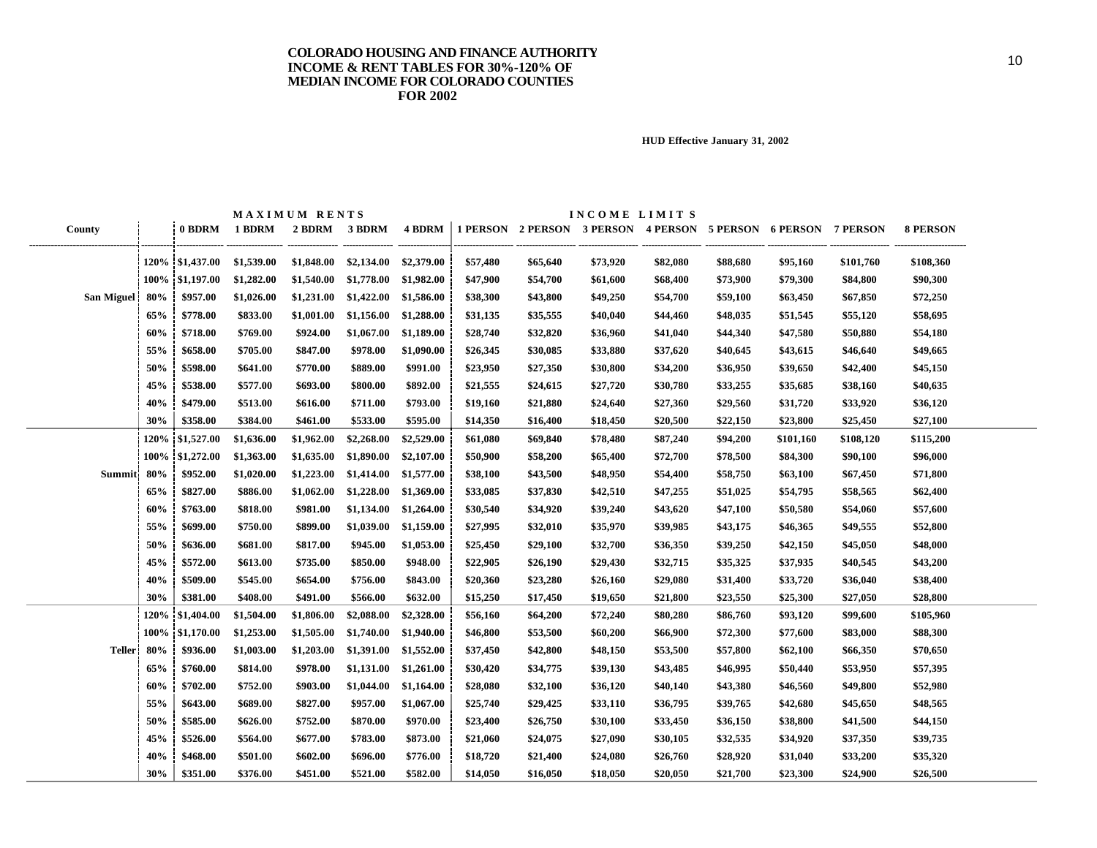|                   |      |                  | MAXIMUM RENTS |            |                       |            |          | INCOME LIMITS |          |                                                                |          |           |           |                 |
|-------------------|------|------------------|---------------|------------|-----------------------|------------|----------|---------------|----------|----------------------------------------------------------------|----------|-----------|-----------|-----------------|
| County            |      | 0 BDRM           | 1 BDRM        | 2 BDRM     | 3 BDRM                | 4 BDRM     |          |               |          | 1 PERSON 2 PERSON 3 PERSON 4 PERSON 5 PERSON 6 PERSON 7 PERSON |          |           |           | <b>8 PERSON</b> |
|                   |      | 120\% \$1,437.00 | \$1,539.00    | \$1,848.00 | \$2,134.00 \$2,379.00 |            | \$57,480 | \$65,640      | \$73,920 | \$82,080                                                       | \$88,680 | \$95,160  | \$101,760 | \$108,360       |
|                   |      | 100% \$1,197.00  | \$1,282.00    | \$1,540.00 | \$1,778.00            | \$1,982.00 | \$47,900 | \$54,700      | \$61,600 | \$68,400                                                       | \$73,900 | \$79,300  | \$84,800  | \$90,300        |
| <b>San Miguel</b> | 80%  | \$957.00         | \$1,026.00    | \$1,231.00 | \$1,422.00            | \$1,586.00 | \$38,300 | \$43,800      | \$49,250 | \$54,700                                                       | \$59,100 | \$63,450  | \$67,850  | \$72,250        |
|                   | 65%  | \$778.00         | \$833.00      | \$1,001.00 | \$1,156.00            | \$1,288.00 | \$31,135 | \$35,555      | \$40,040 | \$44,460                                                       | \$48,035 | \$51,545  | \$55,120  | \$58,695        |
|                   | 60%  | \$718.00         | \$769.00      | \$924.00   | \$1,067.00            | \$1,189.00 | \$28,740 | \$32,820      | \$36,960 | \$41,040                                                       | \$44,340 | \$47,580  | \$50,880  | \$54,180        |
|                   | 55%  | \$658.00         | \$705.00      | \$847.00   | \$978.00              | \$1,090.00 | \$26,345 | \$30,085      | \$33,880 | \$37,620                                                       | \$40,645 | \$43,615  | \$46,640  | \$49,665        |
|                   | 50%  | \$598.00         | \$641.00      | \$770.00   | \$889.00              | \$991.00   | \$23,950 | \$27,350      | \$30,800 | \$34,200                                                       | \$36,950 | \$39,650  | \$42,400  | \$45,150        |
|                   | 45%  | \$538.00         | \$577.00      | \$693.00   | \$800.00              | \$892.00   | \$21,555 | \$24,615      | \$27,720 | \$30,780                                                       | \$33,255 | \$35,685  | \$38,160  | \$40,635        |
|                   | 40%  | \$479.00         | \$513.00      | \$616.00   | \$711.00              | \$793.00   | \$19,160 | \$21,880      | \$24,640 | \$27,360                                                       | \$29,560 | \$31,720  | \$33,920  | \$36,120        |
|                   | 30%  | \$358.00         | \$384.00      | \$461.00   | \$533.00              | \$595.00   | \$14,350 | \$16,400      | \$18,450 | \$20,500                                                       | \$22,150 | \$23,800  | \$25,450  | \$27,100        |
|                   | 120% | \$1,527.00       | \$1,636.00    | \$1,962.00 | \$2,268.00            | \$2,529.00 | \$61,080 | \$69,840      | \$78,480 | \$87,240                                                       | \$94,200 | \$101,160 | \$108,120 | \$115,200       |
|                   | 100% | \$1,272.00       | \$1,363.00    | \$1,635.00 | \$1,890.00            | \$2,107.00 | \$50,900 | \$58,200      | \$65,400 | \$72,700                                                       | \$78,500 | \$84,300  | \$90,100  | \$96,000        |
| <b>Summit</b>     | 80%  | \$952.00         | \$1,020.00    | \$1,223.00 | \$1,414.00            | \$1,577.00 | \$38,100 | \$43,500      | \$48,950 | \$54,400                                                       | \$58,750 | \$63,100  | \$67,450  | \$71,800        |
|                   | 65%  | \$827.00         | \$886.00      | \$1,062.00 | \$1,228.00            | \$1,369.00 | \$33,085 | \$37,830      | \$42,510 | \$47,255                                                       | \$51,025 | \$54,795  | \$58,565  | \$62,400        |
|                   | 60%  | \$763.00         | \$818.00      | \$981.00   | \$1,134.00            | \$1,264.00 | \$30,540 | \$34,920      | \$39,240 | \$43,620                                                       | \$47,100 | \$50,580  | \$54,060  | \$57,600        |
|                   | 55%  | \$699.00         | \$750.00      | \$899.00   | \$1,039.00            | \$1,159.00 | \$27,995 | \$32,010      | \$35,970 | \$39,985                                                       | \$43,175 | \$46,365  | \$49,555  | \$52,800        |
|                   | 50%  | \$636.00         | \$681.00      | \$817.00   | \$945.00              | \$1,053.00 | \$25,450 | \$29,100      | \$32,700 | \$36,350                                                       | \$39,250 | \$42,150  | \$45,050  | \$48,000        |
|                   | 45%  | \$572.00         | \$613.00      | \$735.00   | \$850.00              | \$948.00   | \$22,905 | \$26,190      | \$29,430 | \$32,715                                                       | \$35,325 | \$37,935  | \$40,545  | \$43,200        |
|                   | 40%  | \$509.00         | \$545.00      | \$654.00   | \$756.00              | \$843.00   | \$20,360 | \$23,280      | \$26,160 | \$29,080                                                       | \$31,400 | \$33,720  | \$36,040  | \$38,400        |
|                   | 30%  | \$381.00         | \$408.00      | \$491.00   | \$566.00              | \$632.00   | \$15,250 | \$17,450      | \$19,650 | \$21,800                                                       | \$23,550 | \$25,300  | \$27,050  | \$28,800        |
|                   | 120% | \$1,404.00       | \$1,504.00    | \$1,806.00 | \$2,088.00            | \$2,328.00 | \$56,160 | \$64,200      | \$72,240 | \$80,280                                                       | \$86,760 | \$93,120  | \$99,600  | \$105,960       |
|                   | 100% | \$1,170.00       | \$1,253.00    | \$1,505.00 | \$1,740.00            | \$1,940.00 | \$46,800 | \$53,500      | \$60,200 | \$66,900                                                       | \$72,300 | \$77,600  | \$83,000  | \$88,300        |
| <b>Teller</b>     | 80%  | \$936.00         | \$1,003.00    | \$1,203.00 | \$1,391.00            | \$1,552.00 | \$37,450 | \$42,800      | \$48,150 | \$53,500                                                       | \$57,800 | \$62,100  | \$66,350  | \$70,650        |
|                   | 65%  | \$760.00         | \$814.00      | \$978.00   | \$1,131.00            | \$1,261.00 | \$30,420 | \$34,775      | \$39,130 | \$43,485                                                       | \$46,995 | \$50,440  | \$53,950  | \$57,395        |
|                   | 60%  | \$702.00         | \$752.00      | \$903.00   | \$1,044.00            | \$1,164.00 | \$28,080 | \$32,100      | \$36,120 | \$40,140                                                       | \$43,380 | \$46,560  | \$49,800  | \$52,980        |
|                   | 55%  | \$643.00         | \$689.00      | \$827.00   | \$957.00              | \$1,067.00 | \$25,740 | \$29,425      | \$33,110 | \$36,795                                                       | \$39,765 | \$42,680  | \$45,650  | \$48,565        |
|                   | 50%  | \$585.00         | \$626.00      | \$752.00   | \$870.00              | \$970.00   | \$23,400 | \$26,750      | \$30,100 | \$33,450                                                       | \$36,150 | \$38,800  | \$41,500  | \$44,150        |
|                   | 45%  | \$526.00         | \$564.00      | \$677.00   | \$783.00              | \$873.00   | \$21,060 | \$24,075      | \$27,090 | \$30,105                                                       | \$32,535 | \$34,920  | \$37,350  | \$39,735        |
|                   | 40%  | \$468.00         | \$501.00      | \$602.00   | \$696.00              | \$776.00   | \$18,720 | \$21,400      | \$24,080 | \$26,760                                                       | \$28,920 | \$31,040  | \$33,200  | \$35,320        |
|                   | 30%  | \$351.00         | \$376.00      | \$451.00   | \$521.00              | \$582.00   | \$14,050 | \$16,050      | \$18,050 | \$20,050                                                       | \$21,700 | \$23,300  | \$24,900  | \$26,500        |